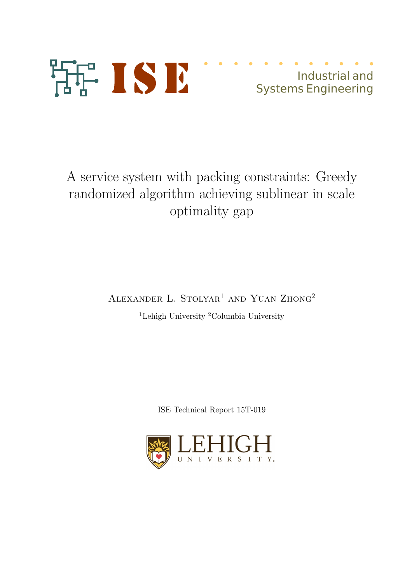

Industrial and Systems Engineering

A service system with packing constraints: Greedy randomized algorithm achieving sublinear in scale optimality gap

ALEXANDER L. STOLYAR<sup>1</sup> AND YUAN ZHONG<sup>2</sup>

<sup>1</sup>Lehigh University <sup>2</sup>Columbia University

ISE Technical Report 15T-019

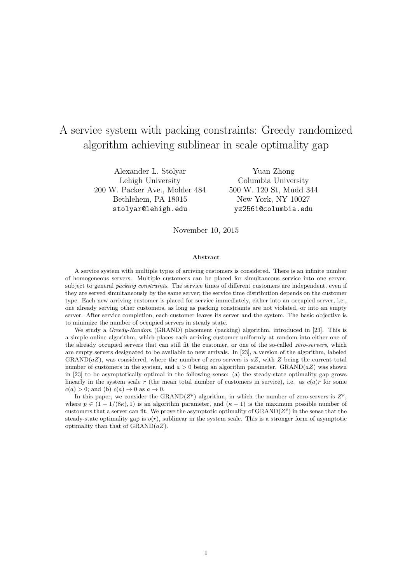# A service system with packing constraints: Greedy randomized algorithm achieving sublinear in scale optimality gap

Alexander L. Stolyar Lehigh University 200 W. Packer Ave., Mohler 484 Bethlehem, PA 18015 stolyar@lehigh.edu

Yuan Zhong Columbia University 500 W. 120 St, Mudd 344 New York, NY 10027 yz2561@columbia.edu

November 10, 2015

#### Abstract

A service system with multiple types of arriving customers is considered. There is an infinite number of homogeneous servers. Multiple customers can be placed for simultaneous service into one server, subject to general *packing constraints*. The service times of different customers are independent, even if they are served simultaneously by the same server; the service time distribution depends on the customer type. Each new arriving customer is placed for service immediately, either into an occupied server, i.e., one already serving other customers, as long as packing constraints are not violated, or into an empty server. After service completion, each customer leaves its server and the system. The basic objective is to minimize the number of occupied servers in steady state.

We study a *Greedy-Random* (GRAND) placement (packing) algorithm, introduced in [23]. This is a simple online algorithm, which places each arriving customer uniformly at random into either one of the already occupied servers that can still fit the customer, or one of the so-called zero-servers, which are empty servers designated to be available to new arrivals. In [23], a version of the algorithm, labeled  $\text{GRAND}(aZ)$ , was considered, where the number of zero servers is  $aZ$ , with Z being the current total number of customers in the system, and  $a > 0$  being an algorithm parameter. GRAND( $aZ$ ) was shown in [23] to be asymptotically optimal in the following sense: (a) the steady-state optimality gap grows linearly in the system scale r (the mean total number of customers in service), i.e. as  $c(a)r$  for some  $c(a) > 0$ ; and (b)  $c(a) \rightarrow 0$  as  $a \rightarrow 0$ .

In this paper, we consider the GRAND( $Z^p$ ) algorithm, in which the number of zero-servers is  $Z^p$ , where  $p \in (1 - 1/(8\kappa), 1)$  is an algorithm parameter, and  $(\kappa - 1)$  is the maximum possible number of customers that a server can fit. We prove the asymptotic optimality of  $\text{GRAND}(Z^p)$  in the sense that the steady-state optimality gap is  $o(r)$ , sublinear in the system scale. This is a stronger form of asymptotic optimality than that of  $\text{GRAND}(aZ)$ .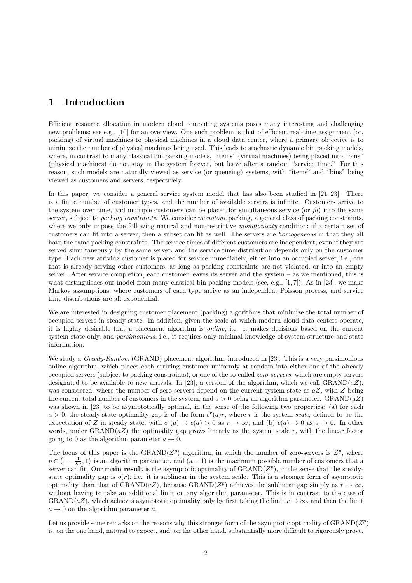# 1 Introduction

Efficient resource allocation in modern cloud computing systems poses many interesting and challenging new problems; see e.g., [10] for an overview. One such problem is that of efficient real-time assignment (or, packing) of virtual machines to physical machines in a cloud data center, where a primary objective is to minimize the number of physical machines being used. This leads to stochastic dynamic bin packing models, where, in contrast to many classical bin packing models, "items" (virtual machines) being placed into "bins" (physical machines) do not stay in the system forever, but leave after a random "service time." For this reason, such models are naturally viewed as service (or queueing) systems, with "items" and "bins" being viewed as customers and servers, respectively.

In this paper, we consider a general service system model that has also been studied in  $[21-23]$ . There is a finite number of customer types, and the number of available servers is infinite. Customers arrive to the system over time, and multiple customers can be placed for simultaneous service (or fit) into the same server, subject to packing constraints. We consider monotone packing, a general class of packing constraints, where we only impose the following natural and non-restrictive *monotonicity* condition: if a certain set of customers can fit into a server, then a subset can fit as well. The servers are homogeneous in that they all have the same packing constraints. The service times of different customers are independent, even if they are served simultaneously by the same server, and the service time distribution depends only on the customer type. Each new arriving customer is placed for service immediately, either into an occupied server, i.e., one that is already serving other customers, as long as packing constraints are not violated, or into an empty server. After service completion, each customer leaves its server and the system – as we mentioned, this is what distinguishes our model from many classical bin packing models (see, e.g.,  $[1, 7]$ ). As in [23], we make Markov assumptions, where customers of each type arrive as an independent Poisson process, and service time distributions are all exponential.

We are interested in designing customer placement (packing) algorithms that minimize the total number of occupied servers in steady state. In addition, given the scale at which modern cloud data centers operate, it is highly desirable that a placement algorithm is online, i.e., it makes decisions based on the current system state only, and *parsimonious*, i.e., it requires only minimal knowledge of system structure and state information.

We study a *Greedy-Random* (GRAND) placement algorithm, introduced in [23]. This is a very parsimonious online algorithm, which places each arriving customer uniformly at random into either one of the already occupied servers (subject to packing constraints), or one of the so-called zero-servers, which are empty servers designated to be available to new arrivals. In [23], a version of the algorithm, which we call  $\text{GRAND}(aZ)$ , was considered, where the number of zero servers depend on the current system state as  $aZ$ , with Z being the current total number of customers in the system, and  $a > 0$  being an algorithm parameter. GRAND( $aZ$ ) was shown in [23] to be asymptotically optimal, in the sense of the following two properties: (a) for each  $a > 0$ , the steady-state optimality gap is of the form  $c^{r}(a)r$ , where r is the system scale, defined to be the expectation of Z in steady state, with  $c^r(a) \to c(a) > 0$  as  $r \to \infty$ ; and (b)  $c(a) \to 0$  as  $a \to 0$ . In other words, under  $\text{GRAND}(aZ)$  the optimality gap grows linearly as the system scale r, with the linear factor going to 0 as the algorithm parameter  $a \to 0$ .

The focus of this paper is the GRAND( $Z^p$ ) algorithm, in which the number of zero-servers is  $Z^p$ , where  $p \in (1 - \frac{1}{8\kappa}, 1)$  is an algorithm parameter, and  $(\kappa - 1)$  is the maximum possible number of customers that a server can fit. Our **main result** is the asymptotic optimality of GRAND( $Z^p$ ), in the sense that the steadystate optimality gap is  $o(r)$ , i.e. it is sublinear in the system scale. This is a stronger form of asymptotic optimality than that of GRAND( $aZ$ ), because GRAND( $Z<sup>p</sup>$ ) achieves the sublinear gap simply as  $r \to \infty$ , without having to take an additional limit on any algorithm parameter. This is in contrast to the case of GRAND(aZ), which achieves asymptotic optimality only by first taking the limit  $r \to \infty$ , and then the limit  $a \rightarrow 0$  on the algorithm parameter a.

Let us provide some remarks on the reasons why this stronger form of the asymptotic optimality of  $\text{GRAND}(Z^p)$ is, on the one hand, natural to expect, and, on the other hand, substantially more difficult to rigorously prove.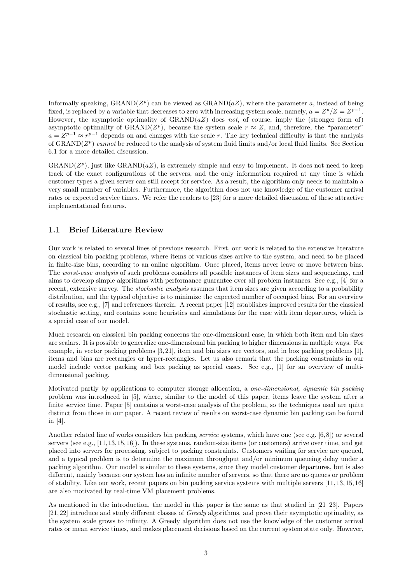Informally speaking,  $\text{GRAND}(Z^p)$  can be viewed as  $\text{GRAND}(aZ)$ , where the parameter a, instead of being fixed, is replaced by a variable that decreases to zero with increasing system scale; namely,  $a = Z^p/Z = Z^{p-1}$ . However, the asymptotic optimality of  $\text{GRAND}(aZ)$  does not, of course, imply the (stronger form of) asymptotic optimality of GRAND( $Z^p$ ), because the system scale  $r \approx Z$ , and, therefore, the "parameter"  $a = Z^{p-1} \approx r^{p-1}$  depends on and changes with the scale r. The key technical difficulty is that the analysis of GRAND( $Z^p$ ) cannot be reduced to the analysis of system fluid limits and/or local fluid limits. See Section 6.1 for a more detailed discussion.

 $\text{GRAND}(Z^p)$ , just like  $\text{GRAND}(aZ)$ , is extremely simple and easy to implement. It does not need to keep track of the exact configurations of the servers, and the only information required at any time is which customer types a given server can still accept for service. As a result, the algorithm only needs to maintain a very small number of variables. Furthermore, the algorithm does not use knowledge of the customer arrival rates or expected service times. We refer the readers to [23] for a more detailed discussion of these attractive implementational features.

### 1.1 Brief Literature Review

Our work is related to several lines of previous research. First, our work is related to the extensive literature on classical bin packing problems, where items of various sizes arrive to the system, and need to be placed in finite-size bins, according to an online algorithm. Once placed, items never leave or move between bins. The worst-case analysis of such problems considers all possible instances of item sizes and sequencings, and aims to develop simple algorithms with performance guarantee over all problem instances. See e.g., [4] for a recent, extensive survey. The stochastic analysis assumes that item sizes are given according to a probability distribution, and the typical objective is to minimize the expected number of occupied bins. For an overview of results, see e.g., [7] and references therein. A recent paper [12] establishes improved results for the classical stochastic setting, and contains some heuristics and simulations for the case with item departures, which is a special case of our model.

Much research on classical bin packing concerns the one-dimensional case, in which both item and bin sizes are scalars. It is possible to generalize one-dimensional bin packing to higher dimensions in multiple ways. For example, in vector packing problems [3, 21], item and bin sizes are vectors, and in box packing problems [1], items and bins are rectangles or hyper-rectangles. Let us also remark that the packing constraints in our model include vector packing and box packing as special cases. See e.g., [1] for an overview of multidimensional packing.

Motivated partly by applications to computer storage allocation, a one-dimensional, dynamic bin packing problem was introduced in [5], where, similar to the model of this paper, items leave the system after a finite service time. Paper [5] contains a worst-case analysis of the problem, so the techniques used are quite distinct from those in our paper. A recent review of results on worst-case dynamic bin packing can be found in [4].

Another related line of works considers bin packing service systems, which have one (see e.g. [6,8]) or several servers (see e.g., [11,13,15,16]). In these systems, random-size items (or customers) arrive over time, and get placed into servers for processing, subject to packing constraints. Customers waiting for service are queued, and a typical problem is to determine the maximum throughput and/or minimum queueing delay under a packing algorithm. Our model is similar to these systems, since they model customer departures, but is also different, mainly because our system has an infinite number of servers, so that there are no queues or problem of stability. Like our work, recent papers on bin packing service systems with multiple servers [11, 13, 15, 16] are also motivated by real-time VM placement problems.

As mentioned in the introduction, the model in this paper is the same as that studied in [21–23]. Papers [21, 22] introduce and study different classes of Greedy algorithms, and prove their asymptotic optimality, as the system scale grows to infinity. A Greedy algorithm does not use the knowledge of the customer arrival rates or mean service times, and makes placement decisions based on the current system state only. However,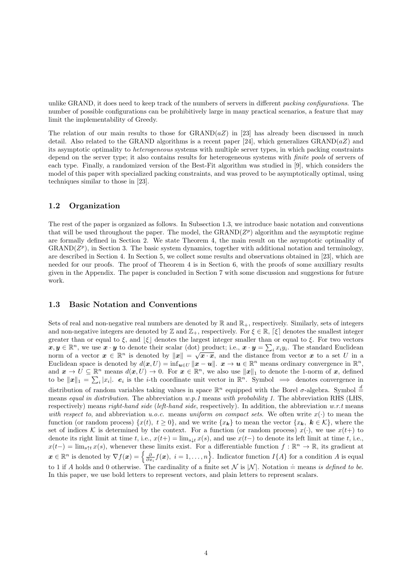unlike GRAND, it does need to keep track of the numbers of servers in different *packing configurations*. The number of possible configurations can be prohibitively large in many practical scenarios, a feature that may limit the implementability of Greedy.

The relation of our main results to those for  $\text{GRAND}(aZ)$  in [23] has already been discussed in much detail. Also related to the GRAND algorithms is a recent paper [24], which generalizes GRAND( $aZ$ ) and its asymptotic optimality to heterogeneous systems with multiple server types, in which packing constraints depend on the server type; it also contains results for heterogeneous systems with finite pools of servers of each type. Finally, a randomized version of the Best-Fit algorithm was studied in [9], which considers the model of this paper with specialized packing constraints, and was proved to be asymptotically optimal, using techniques similar to those in [23].

#### 1.2 Organization

The rest of the paper is organized as follows. In Subsection 1.3, we introduce basic notation and conventions that will be used throughout the paper. The model, the  $\text{GRAND}(Z^p)$  algorithm and the asymptotic regime are formally defined in Section 2. We state Theorem 4, the main result on the asymptotic optimality of  $\text{GRAND}(Z^p)$ , in Section 3. The basic system dynamics, together with additional notation and terminology, are described in Section 4. In Section 5, we collect some results and observations obtained in [23], which are needed for our proofs. The proof of Theorem 4 is in Section 6, with the proofs of some auxilliary results given in the Appendix. The paper is concluded in Section 7 with some discussion and suggestions for future work.

#### 1.3 Basic Notation and Conventions

Sets of real and non-negative real numbers are denoted by  $\mathbb R$  and  $\mathbb R_+$ , respectively. Similarly, sets of integers and non-negative integers are denoted by Z and  $\mathbb{Z}_+$ , respectively. For  $\xi \in \mathbb{R}$ ,  $[\xi]$  denotes the smallest integer greater than or equal to  $\xi$ , and  $|\xi|$  denotes the largest integer smaller than or equal to  $\xi$ . For two vectors  $x, y \in \mathbb{R}^n$ , we use  $x \cdot y$  to denote their scalar (dot) product; i.e.,  $x \cdot y = \sum_i x_i y_i$ . The standard Euclidean norm of a vector  $x \in \mathbb{R}^n$  is denoted by  $||x|| = \sqrt{x \cdot x}$ , and the distance from vector x to a set U in a Euclidean space is denoted by  $d(x, U) = \inf_{u \in U} ||x - u||$ .  $x \to u \in \mathbb{R}^n$  means ordinary convergence in  $\mathbb{R}^n$ , and  $x \to U \subseteq \mathbb{R}^n$  means  $d(x, U) \to 0$ . For  $x \in \mathbb{R}^n$ , we also use  $||x||_1$  to denote the 1-norm of x, defined to be  $||x||_1 = \sum_i |x_i|$ .  $e_i$  is the *i*-th coordinate unit vector in  $\mathbb{R}^n$ . Symbol  $\implies$  denotes convergence in distribution of random variables taking values in space  $\mathbb{R}^n$  equipped with the Borel  $\sigma$ -algebra. Symbol  $\stackrel{d}{=}$ means equal in distribution. The abbreviation w.p.1 means with probability 1. The abbreviation RHS (LHS, respectively) means *right-hand side* (*left-hand side*, respectively). In addition, the abbreviation  $w.r.t$  means with respect to, and abbreviation u.o.c. means uniform on compact sets. We often write  $x(\cdot)$  to mean the function (or random process)  $\{x(t), t \ge 0\}$ , and we write  $\{x_k\}$  to mean the vector  $\{x_k, k \in \mathcal{K}\}$ , where the set of indices K is determined by the context. For a function (or random process)  $x(\cdot)$ , we use  $x(t+)$  to denote its right limit at time t, i.e.,  $x(t+) = \lim_{s \downarrow t} x(s)$ , and use  $x(t-)$  to denote its left limit at time t, i.e.,  $x(t-) = \lim_{s \uparrow t} x(s)$ , whenever these limits exist. For a differentiable function  $f : \mathbb{R}^n \to \mathbb{R}$ , its gradient at  $\boldsymbol{x} \in \mathbb{R}^n$  is denoted by  $\nabla f(\boldsymbol{x}) = \left\{ \frac{\partial}{\partial x_i} f(\boldsymbol{x}), i = 1, \ldots, n \right\}$ . Indicator function  $I\{A\}$  for a condition A is equal to 1 if A holds and 0 otherwise. The cardinality of a finite set N is  $|\mathcal{N}|$ . Notation  $\dot{=}$  means is defined to be. In this paper, we use bold letters to represent vectors, and plain letters to represent scalars.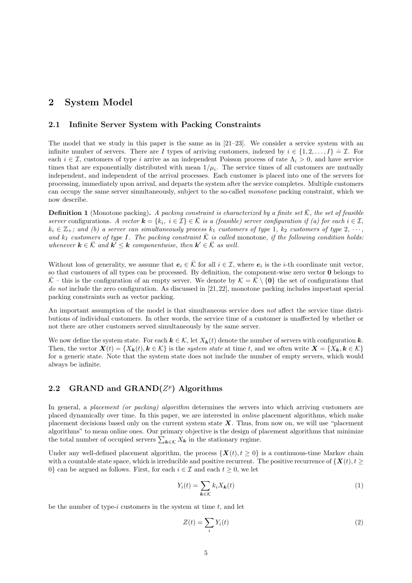### 2 System Model

#### 2.1 Infinite Server System with Packing Constraints

The model that we study in this paper is the same as in  $[21-23]$ . We consider a service system with an infinite number of servers. There are I types of arriving customers, indexed by  $i \in \{1, 2, ..., I\} = \mathcal{I}$ . For each  $i \in \mathcal{I}$ , customers of type i arrive as an independent Poisson process of rate  $\Lambda_i > 0$ , and have service times that are exponentially distributed with mean  $1/\mu_i$ . The service times of all customers are mutually independent, and independent of the arrival processes. Each customer is placed into one of the servers for processing, immediately upon arrival, and departs the system after the service completes. Multiple customers can occupy the same server simultaneously, subject to the so-called monotone packing constraint, which we now describe.

**Definition 1** (Monotone packing). A packing constraint is characterized by a finite set  $K$ , the set of feasible server configurations. A vector  $\mathbf{k} = \{k_i, i \in \mathcal{I}\} \in \bar{\mathcal{K}}$  is a (feasible) server configuration if (a) for each  $i \in \mathcal{I}$ ,  $k_i \in \mathbb{Z}_+$ ; and (b) a server can simultaneously process  $k_1$  customers of type 1,  $k_2$  customers of type 2,  $\cdots$ , and  $k_I$  customers of type I. The packing constraint  $\overline{K}$  is called monotone, if the following condition holds: whenever  $\mathbf{k} \in \overline{\mathcal{K}}$  and  $\mathbf{k}' \leq \mathbf{k}$  componentwise, then  $\mathbf{k}' \in \overline{\mathcal{K}}$  as well.

Without loss of generality, we assume that  $e_i \in \overline{K}$  for all  $i \in \mathcal{I}$ , where  $e_i$  is the *i*-th coordinate unit vector, so that customers of all types can be processed. By definition, the component-wise zero vector 0 belongs to  $\overline{\mathcal{K}}$  – this is the configuration of an empty server. We denote by  $\mathcal{K} = \overline{\mathcal{K}} \setminus \{0\}$  the set of configurations that do not include the zero configuration. As discussed in [21, 22], monotone packing includes important special packing constraints such as vector packing.

An important assumption of the model is that simultaneous service does not affect the service time distributions of individual customers. In other words, the service time of a customer is unaffected by whether or not there are other customers served simultaneously by the same server.

We now define the system state. For each  $k \in \mathcal{K}$ , let  $X_k(t)$  denote the number of servers with configuration k. Then, the vector  $\mathbf{X}(t) = \{X_k(t), k \in \mathcal{K}\}\$ is the system state at time t, and we often write  $\mathbf{X} = \{X_k, k \in \mathcal{K}\}\$ for a generic state. Note that the system state does not include the number of empty servers, which would always be infinite.

# 2.2 GRAND and GRAND $(Z^p)$  Algorithms

In general, a placement (or packing) algorithm determines the servers into which arriving customers are placed dynamically over time. In this paper, we are interested in online placement algorithms, which make placement decisions based only on the current system state  $X$ . Thus, from now on, we will use "placement" algorithms" to mean online ones. Our primary objective is the design of placement algorithms that minimize the total number of occupied servers  $\sum_{\mathbf{k}\in\mathcal{K}} X_{\mathbf{k}}$  in the stationary regime.

Under any well-defined placement algorithm, the process  $\{X(t), t \ge 0\}$  is a continuous-time Markov chain with a countable state space, which is irreducible and positive recurrent. The positive recurrence of  $\{X(t), t \geq 0\}$ 0} can be argued as follows. First, for each  $i \in \mathcal{I}$  and each  $t \geq 0$ , we let

$$
Y_i(t) = \sum_{\mathbf{k} \in \mathcal{K}} k_i X_{\mathbf{k}}(t)
$$
\n(1)

be the number of type-i customers in the system at time  $t$ , and let

$$
Z(t) = \sum_{i} Y_i(t) \tag{2}
$$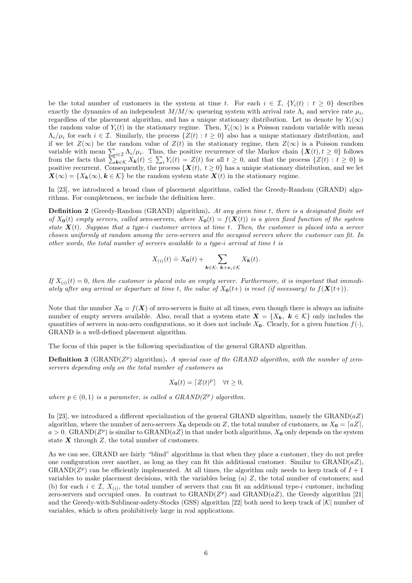be the total number of customers in the system at time t. For each  $i \in \mathcal{I}, \{Y_i(t): t \geq 0\}$  describes exactly the dynamics of an independent  $M/M/\infty$  queueing system with arrival rate  $\Lambda_i$  and service rate  $\mu_i$ , regardless of the placement algorithm, and has a unique stationary distribution. Let us denote by  $Y_i(\infty)$ the random value of  $Y_i(t)$  in the stationary regime. Then,  $Y_i(\infty)$  is a Poisson random variable with mean  $\Lambda_i/\mu_i$  for each  $i \in \mathcal{I}$ . Similarly, the process  $\{Z(t): t \geq 0\}$  also has a unique stationary distribution, and if we let  $Z(\infty)$  be the random value of  $Z(t)$  in the stationary regime, then  $Z(\infty)$  is a Poisson random variable with mean  $\sum_{i\in\mathcal{I}}\Lambda_i/\mu_i$ . Thus, the positive recurrence of the Markov chain  $\{X(t), t\geq 0\}$  follows from the facts that  $\sum_{k \in \mathcal{K}} X_k(t) \leq \sum_i Y_i(t) = Z(t)$  for all  $t \geq 0$ , and that the process  $\{Z(t): t \geq 0\}$  is positive recurrent. Consequently, the process  $\{X(t), t \geq 0\}$  has a unique stationary distribution, and we let  $\mathbf{X}(\infty) = \{X_k(\infty), k \in \mathcal{K}\}\$ be the random system state  $\mathbf{X}(t)$  in the stationary regime.

In [23], we introduced a broad class of placement algorithms, called the Greedy-Random (GRAND) algorithms. For completeness, we include the definition here.

Definition 2 (Greedy-Random (GRAND) algorithm). At any given time t, there is a designated finite set of  $X_0(t)$  empty servers, called zero-servers, where  $X_0(t) = f(X(t))$  is a given fixed function of the system state  $X(t)$ . Suppose that a type-i customer arrives at time t. Then, the customer is placed into a server chosen uniformly at random among the zero-servers and the occupied servers where the customer can fit. In other words, the total number of servers available to a type-i arrival at time t is

$$
X_{(i)}(t) \doteq X_{\mathbf{0}}(t) + \sum_{\mathbf{k} \in \mathcal{K}: \ \mathbf{k} + \mathbf{e}_i \in \mathcal{K}} X_{\mathbf{k}}(t).
$$

If  $X_{(i)}(t) = 0$ , then the customer is placed into an empty server. Furthermore, it is important that immediately after any arrival or departure at time t, the value of  $X_0(t+)$  is reset (if necessary) to  $f(X(t+))$ .

Note that the number  $X_0 = f(X)$  of zero-servers is finite at all times, even though there is always an infinite number of empty servers available. Also, recall that a system state  $\mathbf{X} = \{X_k, k \in \mathcal{K}\}\$  only includes the quantities of servers in non-zero configurations, so it does not include  $X_0$ . Clearly, for a given function  $f(\cdot)$ , GRAND is a well-defined placement algorithm.

The focus of this paper is the following specialization of the general GRAND algorithm.

**Definition 3** (GRAND( $Z^p$ ) algorithm). A special case of the GRAND algorithm, with the number of zeroservers depending only on the total number of customers as

$$
X_{\mathbf{0}}(t) = \lceil Z(t)^p \rceil \quad \forall t \ge 0,
$$

where  $p \in (0, 1)$  is a parameter, is called a GRAND( $Z^p$ ) algorithm.

In [23], we introduced a different specialization of the general GRAND algorithm, namely the GRAND( $aZ$ ) algorithm, where the number of zero-servers  $X_0$  depends on Z, the total number of customers, as  $X_0 = \lfloor aZ \rfloor$ ,  $a > 0$ . GRAND( $Z^p$ ) is similar to GRAND( $aZ$ ) in that under both algorithms,  $X_0$  only depends on the system state  $X$  through  $Z$ , the total number of customers.

As we can see, GRAND are fairly "blind" algorithms in that when they place a customer, they do not prefer one configuration over another, as long as they can fit this additional customer. Similar to  $\text{GRAND}(aZ)$ , GRAND( $Z^p$ ) can be efficiently implemented. At all times, the algorithm only needs to keep track of  $I + 1$ variables to make placement decisions, with the variables being  $(a)$  Z, the total number of customers; and (b) for each  $i \in \mathcal{I}, X_{(i)}$ , the total number of servers that can fit an additional type-i customer, including zero-servers and occupied ones. In contrast to GRAND( $Z<sup>p</sup>$ ) and GRAND( $aZ$ ), the Greedy algorithm [21] and the Greedy-with-Sublinear-safety-Stocks (GSS) algorithm [22] both need to keep track of  $|K|$  number of variables, which is often prohibitively large in real applications.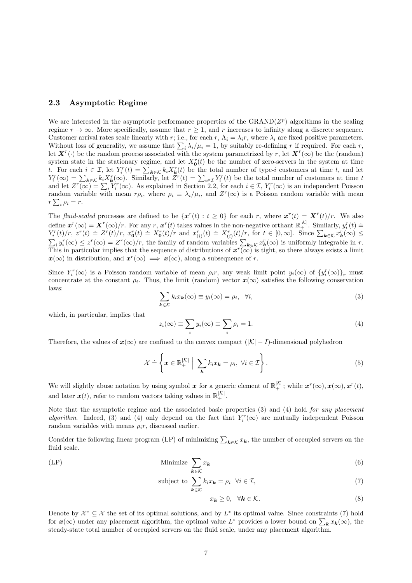### 2.3 Asymptotic Regime

We are interested in the asymptotic performance properties of the GRAND $(Z^p)$  algorithms in the scaling regime  $r \to \infty$ . More specifically, assume that  $r \geq 1$ , and r increases to infinity along a discrete sequence. Customer arrival rates scale linearly with r; i.e., for each r,  $\Lambda_i = \lambda_i r$ , where  $\lambda_i$  are fixed positive parameters. Without loss of generality, we assume that  $\sum_i \lambda_i/\mu_i = 1$ , by suitably re-defining r if required. For each r, let  $\mathbf{X}^r(\cdot)$  be the random process associated with the system parametrized by r, let  $\mathbf{X}^r(\infty)$  be the (random) system state in the stationary regime, and let  $X_0^r(t)$  be the number of zero-servers in the system at time t. For each  $i \in \mathcal{I}$ , let  $Y_i^r(t) = \sum_{k \in \mathcal{K}} k_i X_k^r(t)$  be the total number of type-i customers at time t, and let  $Y_i^r(\infty) = \sum_{k \in \mathcal{K}} k_i X_k^r(\infty)$ . Similarly, let  $Z^r(t) = \sum_{i \in \mathcal{I}} Y_i^r(t)$  be the total number of customers at time t and let  $Z^r(\infty) = \sum_i Y_i^r(\infty)$ . As explained in Section 2.2, for each  $i \in \mathcal{I}, Y_i^r(\infty)$  is an independent Poisson random variable with mean  $r\rho_i$ , where  $\rho_i \equiv \lambda_i/\mu_i$ , and  $Z^r(\infty)$  is a Poisson random variable with mean  $r\sum_i \rho_i=r.$ 

The fluid-scaled processes are defined to be  $\{x^r(t): t \geq 0\}$  for each r, where  $x^r(t) = X^r(t)/r$ . We also define  $\boldsymbol{x}^r(\infty) = \boldsymbol{X}^r(\infty)/r$ . For any r,  $\boldsymbol{x}^r(t)$  takes values in the non-negative orthant  $\mathbb{R}_+^{|K|}$ . Similarly,  $y_i^r(t) =$  $Y_i^r(t)/r$ ,  $z^r(t) = Z^r(t)/r$ ,  $x_0^r(t) = X_0^r(t)/r$  and  $x_{(i)}^r(t) = X_{(i)}^r(t)/r$ , for  $t \in [0,\infty]$ . Since  $\sum_{k \in \mathcal{K}} x_k^r(\infty) \le$  $\sum_i y_i^r(\infty) \leq z^r(\infty) = Z^r(\infty)/r$ , the family of random variables  $\sum_{k \in \mathcal{K}} x_k^r(\infty)$  is uniformly integrable in r. This in particular implies that the sequence of distributions of  $x^r(\infty)$  is tight, so there always exists a limit  $x(\infty)$  in distribution, and  $x^r(\infty) \implies x(\infty)$ , along a subsequence of r.

Since  $Y_i^r(\infty)$  is a Poisson random variable of mean  $\rho_i r$ , any weak limit point  $y_i(\infty)$  of  $\{y_i^r(\infty)\}_r$  must concentrate at the constant  $\rho_i$ . Thus, the limit (random) vector  $x(\infty)$  satisfies the following conservation laws:

$$
\sum_{\mathbf{k}\in\mathcal{K}}k_ix_{\mathbf{k}}(\infty)\equiv y_i(\infty)=\rho_i, \quad \forall i,
$$
\n(3)

which, in particular, implies that

$$
z_i(\infty) \equiv \sum_i y_i(\infty) \equiv \sum_i \rho_i = 1. \tag{4}
$$

Therefore, the values of  $x(\infty)$  are confined to the convex compact  $(|\mathcal{K}|-I)$ -dimensional polyhedron

$$
\mathcal{X} \doteq \left\{ \boldsymbol{x} \in \mathbb{R}_+^{|\mathcal{K}|} \middle| \sum_{\boldsymbol{k}} k_i x_{\boldsymbol{k}} = \rho_i, \ \forall i \in \mathcal{I} \right\}.
$$
 (5)

We will slightly abuse notation by using symbol  $x$  for a generic element of  $\mathbb{R}^{|\mathcal{K}|}_+$ ; while  $x^r(\infty), x(\infty), x^r(t)$ , and later  $x(t)$ , refer to random vectors taking values in  $\mathbb{R}^{|\mathcal{K}|}_+$ .

Note that the asymptotic regime and the associated basic properties  $(3)$  and  $(4)$  hold for any placement algorithm. Indeed, (3) and (4) only depend on the fact that  $Y_i^r(\infty)$  are mutually independent Poisson random variables with means  $\rho_i r$ , discussed earlier.

Consider the following linear program (LP) of minimizing  $\sum_{k \in \mathcal{K}} x_k$ , the number of occupied servers on the fluid scale.

(LP) Minimize X k∈K x<sup>k</sup> (6)

subject to  $\sum$  $\boldsymbol{k} \in \mathcal{K}$  $k_i x_{\mathbf{k}} = \rho_i \quad \forall i \in \mathcal{I},$  (7)

$$
x_{\mathbf{k}} \ge 0, \quad \forall \mathbf{k} \in \mathcal{K}.\tag{8}
$$

Denote by  $\mathcal{X}^* \subseteq \mathcal{X}$  the set of its optimal solutions, and by  $L^*$  its optimal value. Since constraints (7) hold for  $x(\infty)$  under any placement algorithm, the optimal value  $L^*$  provides a lower bound on  $\sum_k x_k(\infty)$ , the steady-state total number of occupied servers on the fluid scale, under any placement algorithm.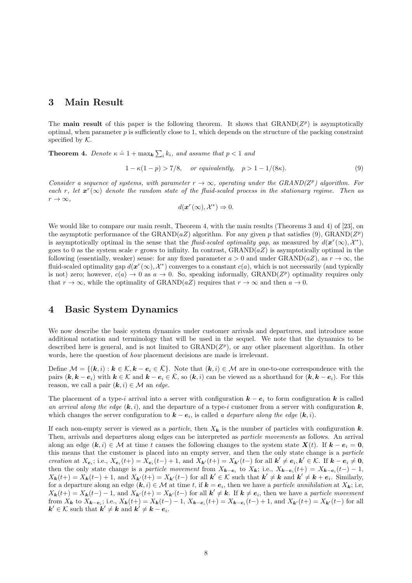# 3 Main Result

The main result of this paper is the following theorem. It shows that  $\text{GRAND}(Z^p)$  is asymptotically optimal, when parameter  $p$  is sufficiently close to 1, which depends on the structure of the packing constraint specified by  $K$ .

**Theorem 4.** Denote  $\kappa \doteq 1 + \max_k \sum_i k_i$ , and assume that  $p < 1$  and

$$
1 - \kappa(1 - p) > \frac{7}{8}, \quad \text{or equivalently,} \quad p > 1 - \frac{1}{8\kappa}.\tag{9}
$$

Consider a sequence of systems, with parameter  $r \to \infty$ , operating under the GRAND(Z<sup>p</sup>) algorithm. For each r, let  $x^r(\infty)$  denote the random state of the fluid-scaled process in the stationary regime. Then as  $r \to \infty$ ,

$$
d(\boldsymbol{x}^r(\infty), \mathcal{X}^*) \Rightarrow 0.
$$

We would like to compare our main result, Theorem 4, with the main results (Theorems 3 and 4) of [23], on the asymptotic performance of the GRAND( $aZ$ ) algorithm. For any given p that satisfies (9), GRAND( $Z^p$ ) is asymptotically optimal in the sense that the *fluid-scaled optimality gap*, as measured by  $d(\mathbf{x}^r(\infty), \mathcal{X}^*),$ goes to 0 as the system scale r grows to infinity. In contrast,  $\text{GRAND}(aZ)$  is asymptotically optimal in the following (essentially, weaker) sense: for any fixed parameter  $a > 0$  and under GRAND( $aZ$ ), as  $r \to \infty$ , the fluid-scaled optimality gap  $d(x^r(\infty), \mathcal{X}^*)$  converges to a constant  $c(a)$ , which is not necessarily (and typically is not) zero; however,  $c(a) \to 0$  as  $a \to 0$ . So, speaking informally, GRAND( $Z^p$ ) optimality requires only that  $r \to \infty$ , while the optimality of GRAND(aZ) requires that  $r \to \infty$  and then  $a \to 0$ .

### 4 Basic System Dynamics

We now describe the basic system dynamics under customer arrivals and departures, and introduce some additional notation and terminology that will be used in the sequel. We note that the dynamics to be described here is general, and is not limited to  $\text{GRAND}(Z^p)$ , or any other placement algorithm. In other words, here the question of how placement decisions are made is irrelevant.

Define  $\mathcal{M} = \{(\mathbf{k}, i): \mathbf{k} \in \mathcal{K}, \mathbf{k} - \mathbf{e}_i \in \overline{\mathcal{K}}\}.$  Note that  $(\mathbf{k}, i) \in \mathcal{M}$  are in one-to-one correspondence with the pairs  $(k, k - e_i)$  with  $k \in \mathcal{K}$  and  $k - e_i \in \overline{\mathcal{K}}$ , so  $(k, i)$  can be viewed as a shorthand for  $(k, k - e_i)$ . For this reason, we call a pair  $(k, i) \in \mathcal{M}$  an *edge*.

The placement of a type-i arrival into a server with configuration  $k - e_i$  to form configuration k is called an arrival along the edge  $(k, i)$ , and the departure of a type-i customer from a server with configuration  $k$ , which changes the server configuration to  $\mathbf{k} - \mathbf{e}_i$ , is called a departure along the edge  $(\mathbf{k}, i)$ .

If each non-empty server is viewed as a particle, then  $X_k$  is the number of particles with configuration k. Then, arrivals and departures along edges can be interpreted as particle movements as follows. An arrival along an edge  $(k, i) \in \mathcal{M}$  at time t causes the following changes to the system state  $X(t)$ . If  $k - e_i = 0$ , this means that the customer is placed into an empty server, and then the only state change is a particle creation at  $X_{e_i}$ ; i.e.,  $X_{e_i}(t+) = X_{e_i}(t-) + 1$ , and  $X_{k'}(t+) = X_{k'}(t-)$  for all  $k' \neq e_i, k' \in \mathcal{K}$ . If  $k - e_i \neq 0$ , then the only state change is a particle movement from  $X_{k-e_i}$  to  $X_k$ ; i.e.,  $X_{k-e_i}(t+) = X_{k-e_i}(t-) - 1$ ,  $X_{k}(t+) = X_{k}(t-) + 1$ , and  $X_{k}(t+) = X_{k}(t-)$  for all  $k' \in \mathcal{K}$  such that  $k' \neq k$  and  $k' \neq k + e_{i}$ . Similarly, for a departure along an edge  $(k, i) \in \mathcal{M}$  at time t, if  $k = e_i$ , then we have a *particle annihilation* at  $X_k$ ; i.e,  $X_{k}(t+) = X_{k}(t-) - 1$ , and  $X_{k}(t+) = X_{k}(t-)$  for all  $k' \neq k$ . If  $k \neq e_i$ , then we have a particle movement from  $X_k$  to  $X_{k-e_i}$ ; i.e.,  $X_k(t+) = X_k(t-) - 1$ ,  $X_{k-e_i}(t+) = X_{k-e_i}(t-) + 1$ , and  $X_{k'}(t+) = X_{k'}(t-)$  for all  $k' \in \mathcal{K}$  such that  $k' \neq k$  and  $k' \neq k - e_i$ .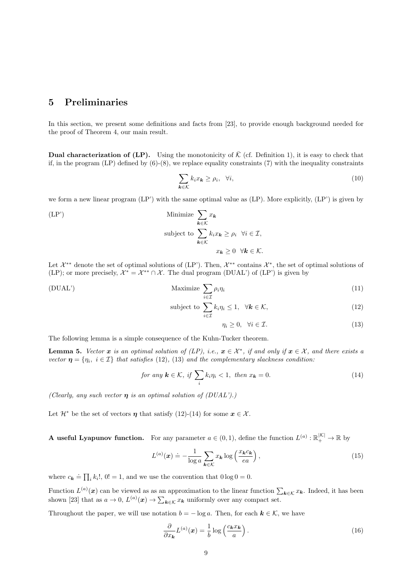# 5 Preliminaries

In this section, we present some definitions and facts from [23], to provide enough background needed for the proof of Theorem 4, our main result.

**Dual characterization of (LP).** Using the monotonicity of  $\overline{K}$  (cf. Definition 1), it is easy to check that if, in the program  $(LP)$  defined by  $(6)-(8)$ , we replace equality constraints (7) with the inequality constraints

$$
\sum_{\mathbf{k}\in\mathcal{K}}k_ix_{\mathbf{k}}\geq\rho_i,\quad\forall i,
$$
\n(10)

we form a new linear program (LP') with the same optimal value as (LP). More explicitly, (LP') is given by

(LP')  
\nMinimize 
$$
\sum_{\mathbf{k}\in\mathcal{K}} x_{\mathbf{k}}
$$
  
\nsubject to  $\sum_{\mathbf{k}\in\mathcal{K}} k_i x_{\mathbf{k}} \ge \rho_i \quad \forall i \in \mathcal{I}$ ,  
\n $x_{\mathbf{k}} \ge 0 \quad \forall \mathbf{k} \in \mathcal{K}$ .

Let  $\mathcal{X}^{**}$  denote the set of optimal solutions of (LP'). Then,  $\mathcal{X}^{**}$  contains  $\mathcal{X}^*$ , the set of optimal solutions of (LP); or more precisely,  $\mathcal{X}^* = \mathcal{X}^{**} \cap \mathcal{X}$ . The dual program (DUAL') of (LP') is given by

(DUAL')  
Maximize 
$$
\sum_{i \in \mathcal{I}} \rho_i \eta_i
$$
 (11)

subject to 
$$
\sum_{i \in \mathcal{I}} k_i \eta_i \leq 1, \quad \forall \mathbf{k} \in \mathcal{K},
$$
 (12)

$$
\eta_i \ge 0, \quad \forall i \in \mathcal{I}.\tag{13}
$$

The following lemma is a simple consequence of the Kuhn-Tucker theorem.

**Lemma 5.** Vector  $x$  is an optimal solution of (LP), i.e.,  $x \in \mathcal{X}^*$ , if and only if  $x \in \mathcal{X}$ , and there exists a vector  $\boldsymbol{\eta} = \{\eta_i, i \in \mathcal{I}\}\$  that satisfies (12), (13) and the complementary slackness condition:

for any 
$$
\mathbf{k} \in \mathcal{K}
$$
, if  $\sum_{i} k_i \eta_i < 1$ , then  $x_{\mathbf{k}} = 0$ . (14)

(Clearly, any such vector  $\eta$  is an optimal solution of (DUAL').)

Let  $\mathcal{H}^*$  be the set of vectors  $\eta$  that satisfy (12)-(14) for some  $x \in \mathcal{X}$ .

**A** useful Lyapunov function. For any parameter  $a \in (0,1)$ , define the function  $L^{(a)} : \mathbb{R}^{|K|}_+ \to \mathbb{R}$  by

$$
L^{(a)}(\mathbf{x}) \doteq -\frac{1}{\log a} \sum_{\mathbf{k} \in \mathcal{K}} x_{\mathbf{k}} \log \left( \frac{x_{\mathbf{k}} c_{\mathbf{k}}}{ea} \right), \tag{15}
$$

where  $c_{\mathbf{k}} \doteq \prod_i k_i!$ ,  $0! = 1$ , and we use the convention that  $0 \log 0 = 0$ .

Function  $L^{(a)}(x)$  can be viewed as as an approximation to the linear function  $\sum_{k \in \mathcal{K}} x_k$ . Indeed, it has been shown [23] that as  $a \to 0$ ,  $L^{(a)}(x) \to \sum_{k \in \mathcal{K}} x_k$  uniformly over any compact set.

Throughout the paper, we will use notation  $b = -\log a$ . Then, for each  $k \in \mathcal{K}$ , we have

$$
\frac{\partial}{\partial x_{\boldsymbol{k}}} L^{(a)}(\boldsymbol{x}) = \frac{1}{b} \log \left( \frac{c_{\boldsymbol{k}} x_{\boldsymbol{k}}}{a} \right).
$$
 (16)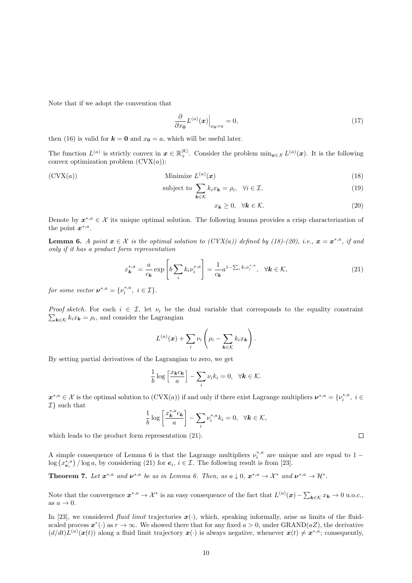Note that if we adopt the convention that

$$
\frac{\partial}{\partial x_0} L^{(a)}(x) \Big|_{x_0 = a} = 0,\tag{17}
$$

then (16) is valid for  $k = 0$  and  $x_0 = a$ , which will be useful later.

The function  $L^{(a)}$  is strictly convex in  $x \in \mathbb{R}^{|\mathcal{K}|}_+$ . Consider the problem  $\min_{x \in \mathcal{X}} L^{(a)}(x)$ . It is the following convex optimization problem  $(CVX(a))$ :

(CVX(a))  
\n
$$
\text{Minimize } L^{(a)}(\boldsymbol{x})
$$
\n
$$
\text{subject to } \sum k_i x_{\boldsymbol{k}} = \rho_i, \quad \forall i \in \mathcal{I}, \tag{18}
$$
\n
$$
\tag{19}
$$

$$
k \in \mathcal{K}
$$
  

$$
x_k \ge 0, \quad \forall k \in \mathcal{K}.
$$
 (20)

Denote by  $x^{*,a} \in \mathcal{X}$  its unique optimal solution. The following lemma provides a crisp characterization of the point  $x^{*,a}$ .

**Lemma 6.** A point  $x \in \mathcal{X}$  is the optimal solution to  $(CVX(a))$  defined by (18)-(20), i.e.,  $x = x^{*,a}$ , if and only if it has a product form representation

$$
x_{\mathbf{k}}^{*,a} = \frac{a}{c_{\mathbf{k}}} \exp\left[b \sum_{i} k_{i} \nu_{i}^{*,a}\right] = \frac{1}{c_{\mathbf{k}}} a^{1-\sum_{i} k_{i} \nu_{i}^{*,a}}, \quad \forall \mathbf{k} \in \mathcal{K},
$$
\n(21)

for some vector  $v^{*,a} = \{v_i^{*,a}, i \in \mathcal{I}\}.$ 

Proof sketch. For each  $i \in \mathcal{I}$ , let  $\nu_i$  be the dual variable that corresponds to the equality constraint  $\sum_{\mathbf{k}\in\mathcal{K}} k_i x_{\mathbf{k}} = \rho_i$ , and consider the Lagrangian

$$
L^{(a)}(\boldsymbol{x}) + \sum_i \nu_i \left( \rho_i - \sum_{\boldsymbol{k} \in \mathcal{K}} k_i x_{\boldsymbol{k}} \right).
$$

By setting partial derivatives of the Lagrangian to zero, we get

$$
\frac{1}{b}\log\left[\frac{x_{k}c_{k}}{a}\right] - \sum_{i}\nu_{i}k_{i} = 0, \quad \forall k \in \mathcal{K}.
$$

 $x^{*,a} \in \mathcal{X}$  is the optimal solution to  $(CVX(a))$  if and only if there exist Lagrange multipliers  $\nu^{*,a} = \{\nu_i^{*,a}, i \in$  $\mathcal{I}\}$  such that

$$
\frac{1}{b}\log\left[\frac{x_k^{*,a}c_k}{a}\right] - \sum_i \nu_i^{*,a}k_i = 0, \ \ \forall k \in \mathcal{K},
$$

which leads to the product form representation (21).

A simple consequence of Lemma 6 is that the Lagrange multipliers  $\nu_i^{*,a}$  are unique and are equal to 1 –  $\log (x_{\boldsymbol{e}_i}^{*,a}) / \log a$ , by considering (21) for  $\boldsymbol{e}_i, i \in \mathcal{I}$ . The following result is from [23].

**Theorem 7.** Let  $\mathbf{x}^{*,a}$  and  $\mathbf{v}^{*,a}$  be as in Lemma 6. Then, as  $a \downarrow 0$ ,  $\mathbf{x}^{*,a} \to \mathcal{X}^*$  and  $\mathbf{v}^{*,a} \to \mathcal{H}^*$ .

Note that the convergence  $x^{*,a} \to \mathcal{X}^*$  is an easy consequence of the fact that  $L^{(a)}(x) - \sum_{\mathbf{k} \in \mathcal{K}} x_{\mathbf{k}} \to 0$  u.o.c., as  $a \to 0$ .

In [23], we considered *fluid limit* trajectories  $x(\cdot)$ , which, speaking informally, arise as limits of the fluidscaled process  $x^r(\cdot)$  as  $r \to \infty$ . We showed there that for any fixed  $a > 0$ , under GRAND( $aZ$ ), the derivative  $(d/dt)L^{(a)}(\boldsymbol{x}(t))$  along a fluid limit trajectory  $\boldsymbol{x}(\cdot)$  is always negative, whenever  $\boldsymbol{x}(t) \neq \boldsymbol{x}^{*,a}$ ; consequently,

 $\Box$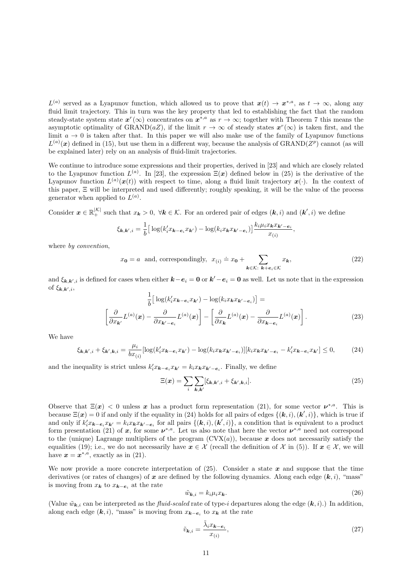$L^{(a)}$  served as a Lyapunov function, which allowed us to prove that  $x(t) \to x^{*,a}$ , as  $t \to \infty$ , along any fluid limit trajectory. This in turn was the key property that led to establishing the fact that the random steady-state system state  $x^r(\infty)$  concentrates on  $x^{*,a}$  as  $r \to \infty$ ; together with Theorem 7 this means the asymptotic optimality of GRAND(aZ), if the limit  $r \to \infty$  of steady states  $x^r(\infty)$  is taken first, and the limit  $a \to 0$  is taken after that. In this paper we will also make use of the family of Lyapunov functions  $L^{(a)}(x)$  defined in (15), but use them in a different way, because the analysis of GRAND( $Z^p$ ) cannot (as will be explained later) rely on an analysis of fluid-limit trajectories.

We continue to introduce some expressions and their properties, derived in [23] and which are closely related to the Lyapunov function  $L^{(a)}$ . In [23], the expression  $\Xi(x)$  defined below in (25) is the derivative of the Lyapunov function  $L^{(a)}(\boldsymbol{x}(t))$  with respect to time, along a fluid limit trajectory  $\boldsymbol{x}(\cdot)$ . In the context of this paper, Ξ will be interpreted and used differently; roughly speaking, it will be the value of the process generator when applied to  $L^{(a)}$ .

Consider  $\boldsymbol{x} \in \mathbb{R}_+^{|K|}$  such that  $x_k > 0$ ,  $\forall k \in K$ . For an ordered pair of edges  $(k, i)$  and  $(k', i)$  we define

$$
\xi_{\mathbf{k},\mathbf{k}',i} = \frac{1}{b} \big[ \log(k'_i x_{\mathbf{k}-\mathbf{e}_i} x_{\mathbf{k}'}) - \log(k_i x_{\mathbf{k}} x_{\mathbf{k}'-\mathbf{e}_i}) \big] \frac{k_i \mu_i x_{\mathbf{k}} x_{\mathbf{k}'-\mathbf{e}_i}}{x_{(i)}},
$$

where by *convention*,

$$
x_0 = a
$$
 and, correspondingly,  $x_{(i)} \doteq x_0 + \sum_{k \in \mathcal{K}: \, k+e_i \in \mathcal{K}} x_k,$  (22)

and  $\xi_{k,k',i}$  is defined for cases when either  $k-e_i = 0$  or  $k'-e_i = 0$  as well. Let us note that in the expression of  $\xi_{\mathbf{k},\mathbf{k}',i}$ ,

$$
\frac{1}{b} \Big[ \log(k_i' x_{\boldsymbol{k} - \boldsymbol{e}_i} x_{\boldsymbol{k'}}) - \log(k_i x_{\boldsymbol{k}} x_{\boldsymbol{k}' - \boldsymbol{e}_i}) \Big] = \left[ \frac{\partial}{\partial x_{\boldsymbol{k}'}} L^{(a)}(\boldsymbol{x}) - \frac{\partial}{\partial x_{\boldsymbol{k}' - \boldsymbol{e}_i}} L^{(a)}(\boldsymbol{x}) \right] - \left[ \frac{\partial}{\partial x_{\boldsymbol{k}}} L^{(a)}(\boldsymbol{x}) - \frac{\partial}{\partial x_{\boldsymbol{k} - \boldsymbol{e}_i}} L^{(a)}(\boldsymbol{x}) \right]. \tag{23}
$$

We have

$$
\xi_{\mathbf{k},\mathbf{k}',i} + \xi_{\mathbf{k}',\mathbf{k},i} = \frac{\mu_i}{bx_{(i)}}[\log(k_i'x_{\mathbf{k}-\mathbf{e}_i}x_{\mathbf{k}'}) - \log(k_ix_{\mathbf{k}}x_{\mathbf{k}'-\mathbf{e}_i})][k_ix_{\mathbf{k}}x_{\mathbf{k}'-\mathbf{e}_i} - k_i'x_{\mathbf{k}-\mathbf{e}_i}x_{\mathbf{k}'}] \le 0,
$$
\n(24)

and the inequality is strict unless  $k'_i x_{\mathbf{k}-\mathbf{e}_i} x_{\mathbf{k}'} = k_i x_{\mathbf{k}} x_{\mathbf{k}'-\mathbf{e}_i}$ . Finally, we define

$$
\Xi(\boldsymbol{x}) = \sum_{i} \sum_{\boldsymbol{k}, \boldsymbol{k}'} [\xi_{\boldsymbol{k}, \boldsymbol{k}', i} + \xi_{\boldsymbol{k}', \boldsymbol{k}, i}]. \tag{25}
$$

Observe that  $\Xi(x) < 0$  unless x has a product form representation (21), for some vector  $\nu^{*,a}$ . This is because  $\Xi(\bm{x}) = 0$  if and only if the equality in (24) holds for all pairs of edges  $\{(\bm{k}, i), (\bm{k}', i)\}\$ , which is true if and only if  $k'_i x_{\mathbf{k}-\mathbf{e}_i} x_{\mathbf{k}'} = k_i x_{\mathbf{k}} x_{\mathbf{k}'-\mathbf{e}_i}$  for all pairs  $\{(\mathbf{k}, i), (\mathbf{k}', i)\}\)$ , a condition that is equivalent to a product form presentation (21) of x, for some  $\nu^{*,a}$ . Let us also note that here the vector  $\nu^{*,a}$  need not correspond to the (unique) Lagrange multipliers of the program  $(Cvx(a))$ , because x does not necessarily satisfy the equalities (19); i.e., we do not necessarily have  $x \in \mathcal{X}$  (recall the definition of X in (5)). If  $x \in \mathcal{X}$ , we will have  $x = x^{*,a}$ , exactly as in (21).

We now provide a more concrete interpretation of  $(25)$ . Consider a state x and suppose that the time derivatives (or rates of changes) of x are defined by the following dynamics. Along each edge  $(k, i)$ , "mass" is moving from  $x_k$  to  $x_{k-e_i}$  at the rate

$$
\tilde{w}_{\mathbf{k},i} = k_i \mu_i x_{\mathbf{k}}.\tag{26}
$$

(Value  $\tilde{w}_{k,i}$  can be interpreted as the *fluid-scaled* rate of type-i departures along the edge  $(k, i)$ .) In addition, along each edge  $(k, i)$ , "mass" is moving from  $x_{k-e_i}$  to  $x_k$  at the rate

$$
\tilde{v}_{\mathbf{k},i} = \frac{\tilde{\lambda}_i x_{\mathbf{k} - \mathbf{e}_i}}{x_{(i)}},\tag{27}
$$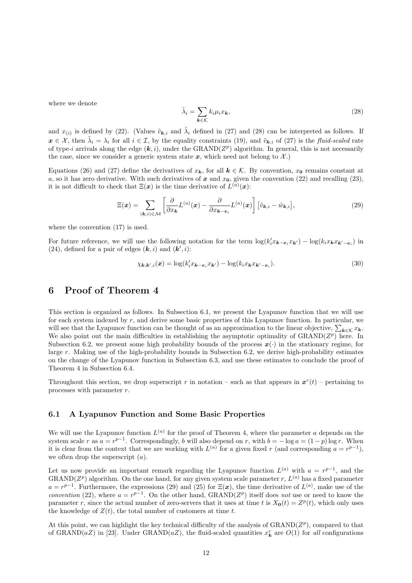where we denote

$$
\tilde{\lambda}_i = \sum_{\mathbf{k} \in \mathcal{K}} k_i \mu_i x_{\mathbf{k}},\tag{28}
$$

and  $x_{(i)}$  is defined by (22). (Values  $\tilde{v}_{k,i}$  and  $\tilde{\lambda}_i$  defined in (27) and (28) can be interpreted as follows. If  $x \in \mathcal{X}$ , then  $\tilde{\lambda}_i = \lambda_i$  for all  $i \in \mathcal{I}$ , by the equality constraints (19), and  $\tilde{v}_{k,i}$  of (27) is the *fluid-scaled* rate of type-i arrivals along the edge  $(k, i)$ , under the GRAND( $Z<sup>p</sup>$ ) algorithm. In general, this is not necessarily the case, since we consider a generic system state  $x$ , which need not belong to  $\mathcal{X}$ .)

Equations (26) and (27) define the derivatives of  $x_k$ , for all  $k \in \mathcal{K}$ . By convention,  $x_0$  remains constant at a, so it has zero derivative. With such derivatives of x and  $x_0$ , given the convention (22) and recalling (23), it is not difficult to check that  $\Xi(x)$  is the time derivative of  $L^{(a)}(x)$ :

$$
\Xi(\boldsymbol{x}) = \sum_{(\boldsymbol{k},i) \in \mathcal{M}} \left[ \frac{\partial}{\partial x_{\boldsymbol{k}}} L^{(a)}(\boldsymbol{x}) - \frac{\partial}{\partial x_{\boldsymbol{k}-\boldsymbol{e}_i}} L^{(a)}(\boldsymbol{x}) \right] \left[ \tilde{v}_{\boldsymbol{k},i} - \tilde{w}_{\boldsymbol{k},i} \right],\tag{29}
$$

where the convention (17) is used.

For future reference, we will use the following notation for the term  $\log(k_i' x_{\mathbf{k}-\mathbf{e}_i} x_{\mathbf{k}'} - \log(k_i x_{\mathbf{k}} x_{\mathbf{k}'-\mathbf{e}_i})$  in (24), defined for a pair of edges  $(\mathbf{k}, i)$  and  $(\mathbf{k}', i)$ :

$$
\chi_{\mathbf{k},\mathbf{k}',i}(\mathbf{x}) = \log(k'_i x_{\mathbf{k}-\mathbf{e}_i} x_{\mathbf{k}'}) - \log(k_i x_{\mathbf{k}} x_{\mathbf{k}'-\mathbf{e}_i}).
$$
\n(30)

### 6 Proof of Theorem 4

This section is organized as follows. In Subsection 6.1, we present the Lyapunov function that we will use for each system indexed by r, and derive some basic properties of this Lyapunov function. In particular, we will see that the Lyapunov function can be thought of as an approximation to the linear objective,  $\sum_{k \in \mathcal{K}} x_k$ . We also point out the main difficulties in establishing the asymptotic optimality of  $\operatorname{GRAND}(Z^p)$  here. In Subsection 6.2, we present some high probability bounds of the process  $x(\cdot)$  in the stationary regime, for large r. Making use of the high-probability bounds in Subsection 6.2, we derive high-probability estimates on the change of the Lyapunov function in Subsection 6.3, and use these estimates to conclude the proof of Theorem 4 in Subsection 6.4.

Throughout this section, we drop superscript r in notation – such as that appears in  $x^r(t)$  – pertaining to processes with parameter r.

### 6.1 A Lyapunov Function and Some Basic Properties

We will use the Lyapunov function  $L^{(a)}$  for the proof of Theorem 4, where the parameter a depends on the system scale r as  $a = r^{p-1}$ . Correspondingly, b will also depend on r, with  $b = -\log a = (1-p)\log r$ . When it is clear from the context that we are working with  $L^{(a)}$  for a given fixed r (and corresponding  $a = r^{p-1}$ ), we often drop the superscript  $(a)$ .

Let us now provide an important remark regarding the Lyapunov function  $L^{(a)}$  with  $a = r^{p-1}$ , and the GRAND( $Z^p$ ) algorithm. On the one hand, for any given system scale parameter r,  $L^{(a)}$  has a fixed parameter  $a = r^{p-1}$ . Furthermore, the expressions (29) and (25) for  $\Xi(x)$ , the time derivative of  $L^{(a)}$ , make use of the convention (22), where  $a = r^{p-1}$ . On the other hand, GRAND( $Z^p$ ) itself does not use or need to know the parameter r, since the actual number of zero-servers that it uses at time t is  $X_0(t) = Z^p(t)$ , which only uses the knowledge of  $Z(t)$ , the total number of customers at time t.

At this point, we can highlight the key technical difficulty of the analysis of  $\text{GRAND}(Z^p)$ , compared to that of GRAND(aZ) in [23]. Under GRAND(aZ), the fluid-scaled quantities  $x_k^r$  are  $O(1)$  for all configurations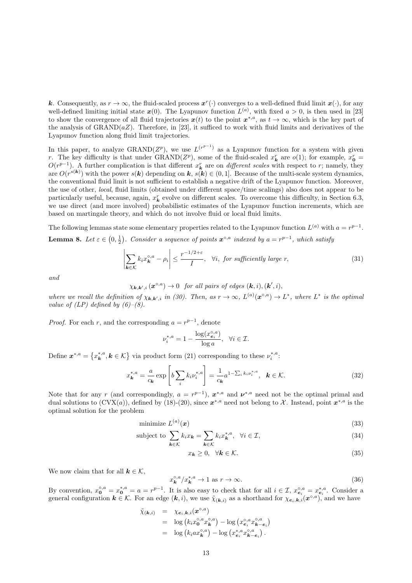k. Consequently, as  $r \to \infty$ , the fluid-scaled process  $x^r(\cdot)$  converges to a well-defined fluid limit  $x(\cdot)$ , for any well-defined limiting initial state  $x(0)$ . The Lyapunov function  $L^{(a)}$ , with fixed  $a > 0$ , is then used in [23] to show the convergence of all fluid trajectories  $x(t)$  to the point  $x^{*,a}$ , as  $t \to \infty$ , which is the key part of the analysis of  $\text{GRAND}(aZ)$ . Therefore, in [23], it sufficed to work with fluid limits and derivatives of the Lyapunov function along fluid limit trajectories.

In this paper, to analyze GRAND( $Z^p$ ), we use  $L^{(r^{p-1})}$  as a Lyapunov function for a system with given r. The key difficulty is that under GRAND( $Z^p$ ), some of the fluid-scaled  $x_k^r$  are  $o(1)$ ; for example,  $x_0^r =$  $O(r^{p-1})$ . A further complication is that different  $x_k^r$  are on *different scales* with respect to r; namely, they are  $O(r^{s(k)})$  with the power  $s(k)$  depending on  $k, s(k) \in (0, 1]$ . Because of the multi-scale system dynamics, the conventional fluid limit is not sufficient to establish a negative drift of the Lyapunov function. Moreover, the use of other, local, fluid limits (obtained under different space/time scalings) also does not appear to be particularly useful, because, again,  $x_k^r$  evolve on different scales. To overcome this difficulty, in Section 6.3, we use direct (and more involved) probabilistic estimates of the Lyapunov function increments, which are based on martingale theory, and which do not involve fluid or local fluid limits.

The following lemmas state some elementary properties related to the Lyapunov function  $L^{(a)}$  with  $a = r^{p-1}$ . **Lemma 8.** Let  $\varepsilon \in (0, \frac{1}{2})$ . Consider a sequence of points  $x^{\circ,a}$  indexed by  $a = r^{p-1}$ , which satisfy

$$
\left| \sum_{\mathbf{k} \in \mathcal{K}} k_i x_{\mathbf{k}}^{\circ, a} - \rho_i \right| \le \frac{r^{-1/2 + \varepsilon}}{I}, \quad \forall i, \text{ for sufficiently large } r,
$$
\n(31)

and

 $\chi_{\mathbf{k},\mathbf{k}',i}(\boldsymbol{x}^{\circ,a})\to 0$  for all pairs of edges  $(\mathbf{k},i),(\mathbf{k}',i),$ 

where we recall the definition of  $\chi_{k,k',i}$  in (30). Then, as  $r \to \infty$ ,  $L^{(a)}(\mathbf{x}^{\circ,a}) \to L^*$ , where  $L^*$  is the optimal value of  $(LP)$  defined by  $(6)-(8)$ .

*Proof.* For each r, and the corresponding  $a = r^{p-1}$ , denote

$$
\nu_i^{*,a} = 1 - \frac{\log(x_{\mathbf{e}_i}^{\circ,a})}{\log a}, \ \ \forall i \in \mathcal{I}.
$$

Define  $\mathbf{x}^{*,a} = \{x_k^{*,a}, k \in \mathcal{K}\}\$ via product form (21) corresponding to these  $\nu_i^{*,a}$ :

$$
x_{\mathbf{k}}^{*,a} = \frac{a}{c_{\mathbf{k}}} \exp\left[b\sum_{i} k_{i} \nu_{i}^{*,a}\right] = \frac{1}{c_{\mathbf{k}}} a^{1-\sum_{i} k_{i} \nu_{i}^{*,a}}, \quad \mathbf{k} \in \mathcal{K}.
$$
 (32)

Note that for any r (and correspondingly,  $a = r^{p-1}$ ),  $x^{*,a}$  and  $v^{*,a}$  need not be the optimal primal and dual solutions to  $(CVX(a))$ , defined by (18)-(20), since  $x^{*,a}$  need not belong to X. Instead, point  $x^{*,a}$  is the optimal solution for the problem

$$
\text{minimize } L^{(a)}(\boldsymbol{x}) \tag{33}
$$

subject to 
$$
\sum_{\mathbf{k}\in\mathcal{K}} k_i x_{\mathbf{k}} = \sum_{\mathbf{k}\in\mathcal{K}} k_i x_{\mathbf{k}}^{*,a}, \quad \forall i \in \mathcal{I},
$$
 (34)

$$
x_k \ge 0, \quad \forall k \in \mathcal{K}.\tag{35}
$$

We now claim that for all  $k \in \mathcal{K}$ ,

$$
x_k^{\circ,a}/x_k^{*,a} \to 1 \text{ as } r \to \infty. \tag{36}
$$

By convention,  $x_0^{\circ,a} = x_0^{*,a} = a = r^{p-1}$ . It is also easy to check that for all  $i \in \mathcal{I}$ ,  $x_{e_i}^{\circ,a} = x_{e_i}^{*,a}$ . Consider a general configuration  $k \in \mathcal{K}$ . For an edge  $(k, i)$ , we use  $\tilde{\chi}_{(k,i)}$  as a shorthand for  $\chi_{e_i,k,i}(\boldsymbol{x}^{\circ, a})$ , and we have

$$
\tilde{\chi}_{(\mathbf{k},i)} = \chi_{\mathbf{e}_i,\mathbf{k},i}(\mathbf{x}^{\circ,a})
$$
\n
$$
= \log (k_i x_0^{\circ,a} x_k^{\circ,a}) - \log (x_{\mathbf{e}_i}^{\circ,a} x_{\mathbf{k}-\mathbf{e}_i}^{\circ,a})
$$
\n
$$
= \log (k_i a x_k^{\circ,a}) - \log (x_{\mathbf{e}_i}^{*,a} x_{\mathbf{k}-\mathbf{e}_i}^{\circ,a}).
$$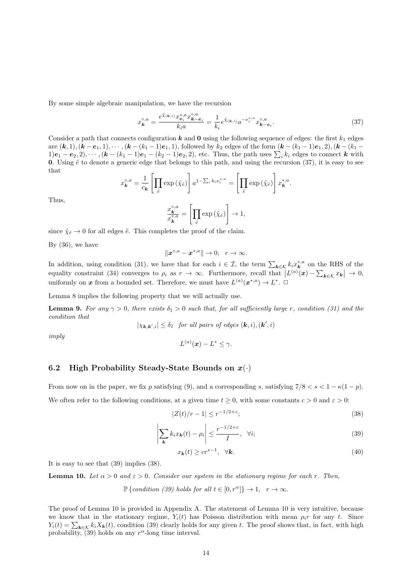By some simple algebraic manipulation, we have the recursion

$$
x_k^{\circ,a} = \frac{e^{\tilde{\chi}_{(\mathbf{k},i)}} x_{\mathbf{\varepsilon}_i}^{*,a} x_{\mathbf{k}-\mathbf{\varepsilon}_i}^{\circ,a}}{k_i a} = \frac{1}{k_i} e^{\tilde{\chi}_{(\mathbf{k},i)}} a^{-\nu_i^{*,a}} x_{\mathbf{k}-\mathbf{\varepsilon}_i}^{\circ,a}.
$$
 (37)

Consider a path that connects configuration k and  $\bf{0}$  using the following sequence of edges: the first  $k_1$  edges are  $(k, 1), (k - e_1, 1), \cdots, (k - (k_1 - 1)e_1, 1)$ , followed by  $k_2$  edges of the form  $(k - (k_1 - 1)e_1, 2), (k - (k_1 - 1)e_2, 1)$  $1)e_1 - e_2, 2), \cdots, (k - (k_1 - 1)e_1 - (k_2 - 1)e_2, 2)$ , etc. Thus, the path uses  $\sum_i k_i$  edges to connect k with 0. Using  $\tilde{e}$  to denote a generic edge that belongs to this path, and using the recursion (37), it is easy to see that

$$
x_{\mathbf{k}}^{\circ,a} = \frac{1}{c_{\mathbf{k}}} \left[ \prod_{\tilde{e}} \exp\left(\tilde{\chi}_{\tilde{e}}\right) \right] a^{1-\sum_{i} k_{i} \nu_{i}^{*,a}} = \left[ \prod_{\tilde{e}} \exp\left(\tilde{\chi}_{\tilde{e}}\right) \right] x_{\mathbf{k}}^{*,a}.
$$

Thus,

$$
\frac{x_k^{\circ,a}}{x_k^{*,a}} = \left[ \prod_{\tilde{e}} \exp\left(\tilde{\chi}_{\tilde{e}}\right) \right] \to 1,
$$

since  $\tilde{\chi}_{\tilde{e}} \to 0$  for all edges  $\tilde{e}$ . This completes the proof of the claim.

By  $(36)$ , we have

$$
\|\boldsymbol{x}^{\circ,a}-\boldsymbol{x}^{*,a}\|\to 0,\ \ r\to\infty.
$$

In addition, using condition (31), we have that for each  $i \in \mathcal{I}$ , the term  $\sum_{k \in \mathcal{K}} k_i x_k^{*,a}$  on the RHS of the equality constraint (34) converges to  $\rho_i$  as  $r \to \infty$ . Furthermore, recall that  $|L^{(a)}(x) - \sum_{\mathbf{k} \in \mathcal{K}} x_{\mathbf{k}}| \to 0$ , uniformly on x from a bounded set. Therefore, we must have  $L^{(a)}(x^{*,a}) \to L^*$ .  $\Box$ 

Lemma 8 implies the following property that we will actually use.

**Lemma 9.** For any  $\gamma > 0$ , there exists  $\delta_1 > 0$  such that, for all sufficiently large r, condition (31) and the condition that

 $|\chi_{\mathbf{k},\mathbf{k}',i}| \leq \delta_1$  for all pairs of edges  $(\mathbf{k},i),(\mathbf{k}',i)$ 

imply

 $L^{(a)}(\boldsymbol{x}) - L^* \leq \gamma.$ 

### 6.2 High Probability Steady-State Bounds on  $x(\cdot)$

From now on in the paper, we fix p satisfying (9), and a corresponding s, satisfying  $7/8 < s < 1 - \kappa(1 - p)$ . We often refer to the following conditions, at a given time  $t \geq 0$ , with some constants  $c > 0$  and  $\varepsilon > 0$ :

$$
|Z(t)/r - 1| \le r^{-1/2 + \varepsilon};\tag{38}
$$

$$
\left| \sum_{\mathbf{k}} k_i x_{\mathbf{k}}(t) - \rho_i \right| \le \frac{r^{-1/2 + \varepsilon}}{I}, \quad \forall i;
$$
\n(39)

$$
x_{\mathbf{k}}(t) \ge c r^{s-1}, \quad \forall \mathbf{k}.\tag{40}
$$

It is easy to see that (39) implies (38).

**Lemma 10.** Let  $\alpha > 0$  and  $\varepsilon > 0$ . Consider our system in the stationary regime for each r. Then,

 $\mathbb{P}\{\text{condition (39) holds for all } t \in [0, r^{\alpha}] \} \to 1, \quad r \to \infty.$ 

The proof of Lemma 10 is provided in Appendix A. The statement of Lemma 10 is very intuitive, because we know that in the stationary regime,  $Y_i(t)$  has Poisson distribution with mean  $\rho_i r$  for any t. Since  $Y_i(t) = \sum_{k \in \mathcal{K}} k_i X_k(t)$ , condition (39) clearly holds for any given t. The proof shows that, in fact, with high probability, (39) holds on any  $r^{\alpha}$ -long time interval.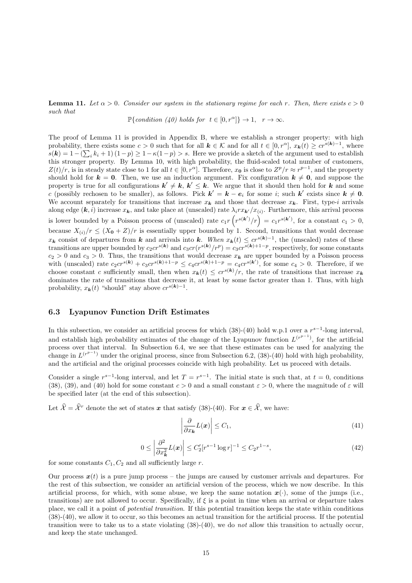#### **Lemma 11.** Let  $\alpha > 0$ . Consider our system in the stationary regime for each r. Then, there exists  $c > 0$ such that

 $\mathbb{P}\{\text{condition } (40) \text{ holds for } t \in [0, r^{\alpha}] \} \to 1, \quad r \to \infty.$ 

The proof of Lemma 11 is provided in Appendix B, where we establish a stronger property: with high probability, there exists some  $c > 0$  such that for all  $k \in \mathcal{K}$  and for all  $t \in [0, r^{\alpha}]$ ,  $x_{k}(t) \geq c r^{s(k)-1}$ , where  $s(\mathbf{k}) = 1 - (\sum_i k_i + 1)(1 - p) \ge 1 - \kappa(1 - p) > s$ . Here we provide a sketch of the argument used to establish this stronger property. By Lemma 10, with high probability, the fluid-scaled total number of customers,  $Z(t)/r$ , is in steady state close to 1 for all  $t \in [0, r^{\alpha}]$ . Therefore,  $x_0$  is close to  $Z^p/r \approx r^{p-1}$ , and the property should hold for  $k = 0$ . Then, we use an induction argument. Fix configuration  $k \neq 0$ , and suppose the property is true for all configurations  $k' \neq k$ ,  $k' \leq k$ . We argue that it should then hold for k and some c (possibly rechosen to be smaller), as follows. Pick  $k' = k - e_i$  for some i; such k' exists since  $k \neq 0$ . We account separately for transitions that increase  $x_k$  and those that decrease  $x_k$ . First, type-i arrivals along edge  $(k, i)$  increase  $x_k$ , and take place at (unscaled) rate  $\lambda_i r x_{k'} / x_{(i)}$ . Furthermore, this arrival process is lower bounded by a Poisson process of (unscaled) rate  $c_1r(r^{s(k')}/r) = c_1r^{s(k')}$ , for a constant  $c_1 > 0$ , because  $X_{(i)}/r \leq (X_0 + Z)/r$  is essentially upper bounded by 1. Second, transitions that would decrease  $x_k$  consist of departures from k and arrivals into k. When  $x_k(t) \leq c r^{s(k)-1}$ , the (unscaled) rates of these transitions are upper bounded by  $c_2cr^{s(k)}$  and  $c_3cr(r^{s(k)}/r^p) = c_3cr^{s(k)+1-p}$ , respectively, for some constants  $c_2 > 0$  and  $c_3 > 0$ . Thus, the transitions that would decrease  $x_k$  are upper bounded by a Poisson process with (unscaled) rate  $c_2cr^{s(k)} + c_3cr^{s(k)+1-p} \leq c_4cr^{s(k)+1-p} = c_4cr^{s(k')}$ , for some  $c_4 > 0$ . Therefore, if we choose constant c sufficiently small, then when  $x_k(t) \leq c r^{s(k)}/r$ , the rate of transitions that increase  $x_k$ dominates the rate of transitions that decrease it, at least by some factor greater than 1. Thus, with high probability,  $x_{\mathbf{k}}(t)$  "should" stay above  $cr^{s(\mathbf{k})-1}$ .

### 6.3 Lyapunov Function Drift Estimates

In this subsection, we consider an artificial process for which  $(38)-(40)$  hold w.p.1 over a  $r^{s-1}$ -long interval, and establish high probability estimates of the change of the Lyapunov function  $L^{(r^{p-1})}$ , for the artificial process over that interval. In Subsection 6.4, we see that these estimates can be used for analyzing the change in  $L^{(r^{p-1})}$  under the original process, since from Subsection 6.2, (38)-(40) hold with high probability, and the artificial and the original processes coincide with high probability. Let us proceed with details.

Consider a single  $r^{s-1}$ -long interval, and let  $T = r^{s-1}$ . The initial state is such that, at  $t = 0$ , conditions (38), (39), and (40) hold for some constant  $c > 0$  and a small constant  $\varepsilon > 0$ , where the magnitude of  $\varepsilon$  will be specified later (at the end of this subsection).

Let  $\hat{\mathcal{X}} = \hat{\mathcal{X}}^r$  denote the set of states x that satisfy (38)-(40). For  $\mathbf{x} \in \hat{\mathcal{X}}$ , we have:

$$
\left| \frac{\partial}{\partial x_{\mathbf{k}}} L(\mathbf{x}) \right| \leq C_1,\tag{41}
$$

$$
0 \le \left| \frac{\partial^2}{\partial x_k^2} L(x) \right| \le C_2' [r^{s-1} \log r]^{-1} \le C_2 r^{1-s},\tag{42}
$$

for some constants  $C_1, C_2$  and all sufficiently large r.

Our process  $x(t)$  is a pure jump process – the jumps are caused by customer arrivals and departures. For the rest of this subsection, we consider an artificial version of the process, which we now describe. In this artificial process, for which, with some abuse, we keep the same notation  $x(\cdot)$ , some of the jumps (i.e., transitions) are not allowed to occur. Specifically, if ξ is a point in time when an arrival or departure takes place, we call it a point of potential transition. If this potential transition keeps the state within conditions (38)-(40), we allow it to occur, so this becomes an actual transition for the artificial process. If the potential transition were to take us to a state violating (38)-(40), we do not allow this transition to actually occur, and keep the state unchanged.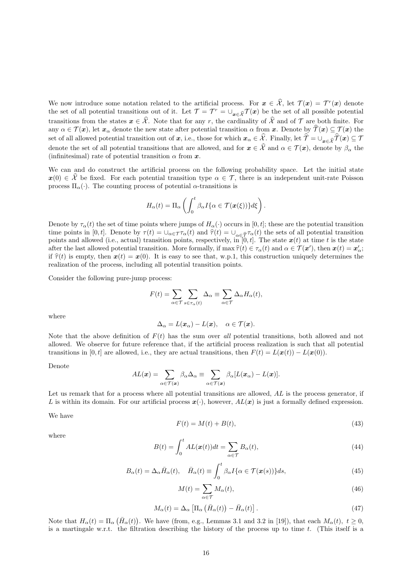We now introduce some notation related to the artificial process. For  $x \in \hat{\mathcal{X}}$ , let  $\mathcal{T}(x) = \mathcal{T}^r(x)$  denote the set of all potential transitions out of it. Let  $\mathcal{T} = \mathcal{T}^r = \bigcup_{\mathbf{x} \in \widehat{\mathcal{X}}} \mathcal{T}(\mathbf{x})$  be the set of all possible potential transitions from the states  $x \in \hat{\mathcal{X}}$ . Note that for any r, the cardinality of  $\hat{\mathcal{X}}$  and of  $\mathcal T$  are both finite. For any  $\alpha \in \mathcal{T}(\bm{x})$ , let  $\bm{x}_{\alpha}$  denote the new state after potential transition  $\alpha$  from  $\bm{x}$ . Denote by  $\widehat{\mathcal{T}}(\bm{x}) \subseteq \mathcal{T}(\bm{x})$  the set of all allowed potential transition out of x, i.e., those for which  $x_\alpha \in \hat{\mathcal{X}}$ . Finally, let  $\hat{\mathcal{T}} = \cup_{x \in \hat{\mathcal{X}}} \hat{\mathcal{T}}(x) \subseteq \mathcal{T}$ denote the set of all potential transitions that are allowed, and for  $x \in \hat{\mathcal{X}}$  and  $\alpha \in \mathcal{T} (\bm{x})$ , denote by  $\beta_{\alpha}$  the (infinitesimal) rate of potential transition  $\alpha$  from  $\boldsymbol{x}$ .

We can and do construct the artificial process on the following probability space. Let the initial state  $x(0) \in \mathcal{X}$  be fixed. For each potential transition type  $\alpha \in \mathcal{T}$ , there is an independent unit-rate Poisson process  $\Pi_{\alpha}(\cdot)$ . The counting process of potential  $\alpha$ -transitions is

$$
H_{\alpha}(t) = \Pi_{\alpha} \left( \int_0^t \beta_{\alpha} I\{\alpha \in \mathcal{T}(\boldsymbol{x}(\xi))\} d\xi \right).
$$

Denote by  $\tau_{\alpha}(t)$  the set of time points where jumps of  $H_{\alpha}(\cdot)$  occurs in [0, t]; these are the potential transition time points in [0, t]. Denote by  $\tau(t) = \cup_{\alpha \in \mathcal{T}} \tau_{\alpha}(t)$  and  $\hat{\tau}(t) = \cup_{\alpha \in \hat{\mathcal{T}}}\tau_{\alpha}(t)$  the sets of all potential transition points and allowed (i.e., actual) transition points, respectively, in  $[0, t]$ . The state  $x(t)$  at time t is the state after the last allowed potential transition. More formally, if  $\max \hat{\tau}(t) \in \tau_{\alpha}(t)$  and  $\alpha \in \mathcal{T}(\mathbf{x}')$ , then  $\mathbf{x}(t) = \mathbf{x}'_{\alpha}$ ;<br>if  $\hat{\tau}(t)$  is apply then  $\mathbf{x}(t) = \mathbf{x}(0)$ . It is easy to see that, w.p.1, this constr if  $\hat{\tau}(t)$  is empty, then  $\mathbf{x}(t) = \mathbf{x}(0)$ . It is easy to see that, w.p.1, this construction uniquely determines the realization of the process, including all potential transition points.

Consider the following pure-jump process:

$$
F(t) = \sum_{\alpha \in \mathcal{T}} \sum_{s \in \tau_{\alpha}(t)} \Delta_{\alpha} \equiv \sum_{\alpha \in \mathcal{T}} \Delta_{\alpha} H_{\alpha}(t),
$$

 $\Delta_{\alpha} = L(\boldsymbol{x}_{\alpha}) - L(\boldsymbol{x}), \quad \alpha \in \mathcal{T}(\boldsymbol{x}).$ 

where

Note that the above definition of 
$$
F(t)
$$
 has the sum over all potential transitions, both allowed and not allowed. We observe for future reference that, if the artificial process realization is such that all potential transitions in [0, t] are allowed, i.e., they are actual transitions, then  $F(t) = L(\mathbf{x}(t)) - L(\mathbf{x}(0))$ .

Denote

$$
AL(\boldsymbol{x}) = \sum_{\alpha \in \mathcal{T}(\boldsymbol{x})} \beta_{\alpha} \Delta_{\alpha} \equiv \sum_{\alpha \in \mathcal{T}(\boldsymbol{x})} \beta_{\alpha} [L(\boldsymbol{x}_{\alpha}) - L(\boldsymbol{x})].
$$

Let us remark that for a process where all potential transitions are allowed, AL is the process generator, if L is within its domain. For our artificial process  $x(\cdot)$ , however,  $AL(x)$  is just a formally defined expression.

We have

$$
F(t) = M(t) + B(t),\tag{43}
$$

where

$$
B(t) = \int_0^t A L(\boldsymbol{x}(t)) dt = \sum_{\alpha \in \mathcal{T}} B_{\alpha}(t), \tag{44}
$$

$$
B_{\alpha}(t) = \Delta_{\alpha} \bar{H}_{\alpha}(t), \quad \bar{H}_{\alpha}(t) \equiv \int_{0}^{t} \beta_{\alpha} I\{\alpha \in \mathcal{T}(\boldsymbol{x}(s))\} ds,
$$
\n(45)

$$
M(t) = \sum_{\alpha \in \mathcal{T}} M_{\alpha}(t),\tag{46}
$$

$$
M_{\alpha}(t) = \Delta_{\alpha} \left[ \Pi_{\alpha} \left( \bar{H}_{\alpha}(t) \right) - \bar{H}_{\alpha}(t) \right]. \tag{47}
$$

Note that  $H_{\alpha}(t) = \Pi_{\alpha}(\bar{H}_{\alpha}(t))$ . We have (from, e.g., Lemmas 3.1 and 3.2 in [19]), that each  $M_{\alpha}(t)$ ,  $t \ge 0$ , is a martingale w.r.t. the filtration describing the history of the process up to time  $t$ . (This itself is a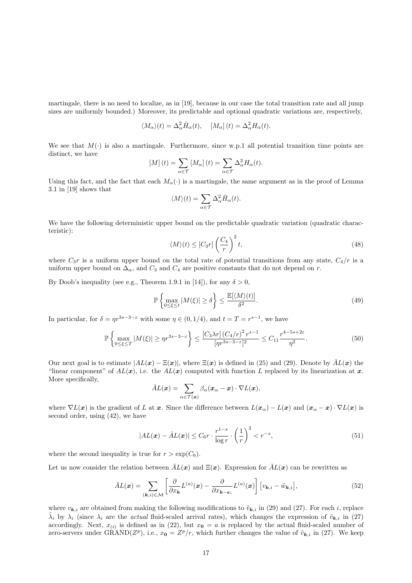martingale, there is no need to localize, as in [19], because in our case the total transition rate and all jump sizes are uniformly bounded.) Moreover, its predictable and optional quadratic variations are, respectively,

$$
\langle M_{\alpha}\rangle(t) = \Delta_{\alpha}^{2} \bar{H}_{\alpha}(t), \quad [M_{\alpha}](t) = \Delta_{\alpha}^{2} H_{\alpha}(t).
$$

We see that  $M(\cdot)$  is also a martingale. Furthermore, since w.p.1 all potential transition time points are distinct, we have

$$
[M](t) = \sum_{\alpha \in \mathcal{T}} [M_{\alpha}](t) = \sum_{\alpha \in \mathcal{T}} \Delta_{\alpha}^{2} H_{\alpha}(t).
$$

Using this fact, and the fact that each  $M_{\alpha}(\cdot)$  is a martingale, the same argument as in the proof of Lemma 3.1 in [19] shows that

$$
\langle M\rangle(t)=\sum_{\alpha\in\mathcal{T}}\Delta_{\alpha}^2\bar{H}_{\alpha}(t).
$$

We have the following deterministic upper bound on the predictable quadratic variation (quadratic characteristic):

$$
\langle M \rangle(t) \leq [C_3 r] \left(\frac{C_4}{r}\right)^2 t,\tag{48}
$$

where  $C_3r$  is a uniform upper bound on the total rate of potential transitions from any state,  $C_4/r$  is a uniform upper bound on  $\Delta_{\alpha}$ , and  $C_3$  and  $C_4$  are positive constants that do not depend on r.

By Doob's inequality (see e.g., Theorem 1.9.1 in [14]), for any  $\delta > 0$ ,

$$
\mathbb{P}\left\{\max_{0\leq\xi\leq t}|M(\xi)|\geq\delta\right\}\leq\frac{\mathbb{E}[\langle M\rangle(t)]}{\delta^2}.\tag{49}
$$

In particular, for  $\delta = \eta r^{3s-3-\epsilon}$  with some  $\eta \in (0, 1/4)$ , and  $t = T = r^{s-1}$ , we have

$$
\mathbb{P}\left\{\max_{0\leq\xi\leq T}|M(\xi)|\geq \eta r^{3s-3-\varepsilon}\right\} \leq \frac{[C_3\lambda r]\left(C_4/r\right)^2 r^{s-1}}{[\eta r^{3s-3-\varepsilon}]^2} \leq C_{11}\frac{r^{4-5s+2\varepsilon}}{\eta^2}.\tag{50}
$$

Our next goal is to estimate  $|AL(x) - \Xi(x)|$ , where  $\Xi(x)$  is defined in (25) and (29). Denote by  $\overline{AL}(x)$  the "linear component" of  $AL(x)$ , i.e. the  $AL(x)$  computed with function L replaced by its linearization at x. More specifically,

$$
\bar{A}L(\boldsymbol{x}) = \sum_{\alpha \in \mathcal{T}(\boldsymbol{x})} \beta_{\alpha}(\boldsymbol{x}_{\alpha} - \boldsymbol{x}) \cdot \nabla L(\boldsymbol{x}),
$$

where  $\nabla L(x)$  is the gradient of L at x. Since the difference between  $L(x_\alpha) - L(x)$  and  $(x_\alpha - x) \cdot \nabla L(x)$  is second order, using (42), we have

$$
|AL(\boldsymbol{x}) - \bar{A}L(\boldsymbol{x})| \le C_6 r \cdot \frac{r^{1-s}}{\log r} \cdot \left(\frac{1}{r}\right)^2 < r^{-s},\tag{51}
$$

where the second inequality is true for  $r > \exp(C_6)$ .

Let us now consider the relation between  $\overline{A}L(x)$  and  $\Xi(x)$ . Expression for  $\overline{A}L(x)$  can be rewritten as

$$
\bar{A}L(\boldsymbol{x}) = \sum_{(\boldsymbol{k},i) \in \mathcal{M}} \left[ \frac{\partial}{\partial x_{\boldsymbol{k}}} L^{(a)}(\boldsymbol{x}) - \frac{\partial}{\partial x_{\boldsymbol{k}-\boldsymbol{e}_i}} L^{(a)}(\boldsymbol{x}) \right] \left[ v_{\boldsymbol{k},i} - \tilde{w}_{\boldsymbol{k},i} \right],\tag{52}
$$

where  $v_{\mathbf{k},i}$  are obtained from making the following modifications to  $\tilde{v}_{\mathbf{k},i}$  in (29) and (27). For each i, replace  $\tilde{\lambda}_i$  by  $\lambda_i$  (since  $\lambda_i$  are the *actual* fluid-scaled arrival rates), which changes the expression of  $\tilde{v}_{k,i}$  in (27) accordingly. Next,  $x_{(i)}$  is defined as in (22), but  $x_0 = a$  is replaced by the actual fluid-scaled number of zero-servers under GRAND( $Z^p$ ), i.e.,  $x_0 = Z^p/r$ , which further changes the value of  $\tilde{v}_{k,i}$  in (27). We keep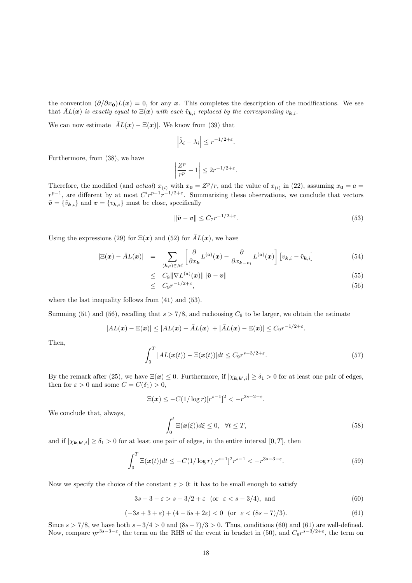the convention  $(\partial/\partial x_0)L(x) = 0$ , for any x. This completes the description of the modifications. We see that  $\bar{A}L(x)$  is exactly equal to  $\Xi(x)$  with each  $\tilde{v}_{k,i}$  replaced by the corresponding  $v_{k,i}$ .

We can now estimate  $|\bar{A}L(x) - \Xi(x)|$ . We know from (39) that

$$
\left|\tilde{\lambda}_i - \lambda_i\right| \leq r^{-1/2 + \varepsilon}.
$$

Furthermore, from (38), we have

$$
\left|\frac{Z^p}{r^p} - 1\right| \le 2r^{-1/2 + \varepsilon}.
$$

Therefore, the modified (and actual)  $x_{(i)}$  with  $x_0 = Z^p/r$ , and the value of  $x_{(i)}$  in (22), assuming  $x_0 = a$  $r^{p-1}$ , are different by at most  $C'r^{p-1}r^{-1/2+\epsilon}$ . Summarizing these observations, we conclude that vectors  $\tilde{\boldsymbol{v}} = \{\tilde{v}_{\boldsymbol{k},i}\}$  and  $\boldsymbol{v} = \{v_{\boldsymbol{k},i}\}$  must be close, specifically

$$
\|\tilde{\mathbf{v}} - \mathbf{v}\| \le C_7 r^{-1/2 + \varepsilon}.\tag{53}
$$

Using the expressions (29) for  $\Xi(x)$  and (52) for  $\bar{A}L(x)$ , we have

$$
|\Xi(\boldsymbol{x}) - \bar{A}L(\boldsymbol{x})| = \sum_{(\boldsymbol{k},i) \in \mathcal{M}} \left[ \frac{\partial}{\partial x_{\boldsymbol{k}}} L^{(a)}(\boldsymbol{x}) - \frac{\partial}{\partial x_{\boldsymbol{k} - \boldsymbol{e}_i}} L^{(a)}(\boldsymbol{x}) \right] \left[ v_{\boldsymbol{k},i} - \tilde{v}_{\boldsymbol{k},i} \right]
$$
(54)

$$
\leq C_8 \|\nabla L^{(a)}(\boldsymbol{x})\| \|\tilde{\boldsymbol{v}} - \boldsymbol{v}\| \tag{55}
$$

$$
\leq C_9 r^{-1/2+\varepsilon},\tag{56}
$$

where the last inequality follows from (41) and (53).

Summing (51) and (56), recalling that  $s > 7/8$ , and rechoosing  $C_9$  to be larger, we obtain the estimate

$$
|AL(\boldsymbol{x})-\Xi(\boldsymbol{x})|\leq |AL(\boldsymbol{x})-\bar{A}L(\boldsymbol{x})|+|\bar{A}L(\boldsymbol{x})-\Xi(\boldsymbol{x})|\leq C_9r^{-1/2+\varepsilon}.
$$

Then,

$$
\int_0^T |AL(\boldsymbol{x}(t)) - \Xi(\boldsymbol{x}(t))| dt \le C_9 r^{s-3/2 + \varepsilon}.
$$
\n(57)

By the remark after (25), we have  $\Xi(x) \leq 0$ . Furthermore, if  $|\chi_{k,k',i}| \geq \delta_1 > 0$  for at least one pair of edges, then for  $\varepsilon > 0$  and some  $C = C(\delta_1) > 0$ ,

$$
\Xi(\boldsymbol{x}) \leq -C(1/\log r)[r^{s-1}]^2 < -r^{2s-2-\varepsilon}.
$$

We conclude that, always,

$$
\int_0^t \Xi(x(\xi))d\xi \le 0, \quad \forall t \le T,\tag{58}
$$

and if  $|\chi_{\boldsymbol{k},\boldsymbol{k}',i}|\geq \delta_1>0$  for at least one pair of edges, in the entire interval  $[0,T]$ , then

$$
\int_0^T \Xi(\boldsymbol{x}(t))dt \le -C(1/\log r)[r^{s-1}]^2 r^{s-1} < -r^{3s-3-\varepsilon}.
$$
\n(59)

Now we specify the choice of the constant  $\varepsilon > 0$ : it has to be small enough to satisfy

$$
3s - 3 - \varepsilon > s - 3/2 + \varepsilon \quad \text{(or} \quad \varepsilon < s - 3/4), \text{ and} \tag{60}
$$

$$
(-3s + 3 + \varepsilon) + (4 - 5s + 2\varepsilon) < 0 \quad \text{(or} \quad \varepsilon < (8s - 7)/3). \tag{61}
$$

Since  $s > 7/8$ , we have both  $s - 3/4 > 0$  and  $(8s - 7)/3 > 0$ . Thus, conditions (60) and (61) are well-defined. Now, compare  $\eta r^{3s-3-\varepsilon}$ , the term on the RHS of the event in bracket in (50), and  $C_9r^{s-3/2+\varepsilon}$ , the term on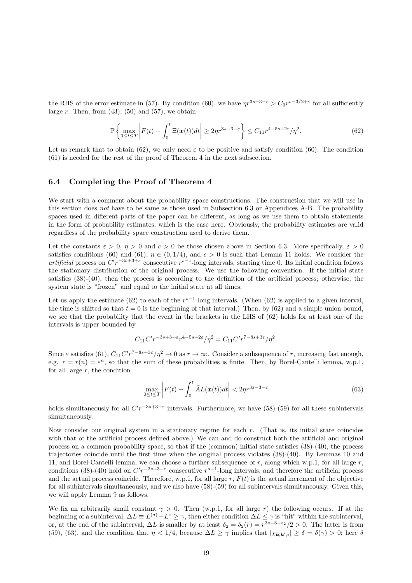the RHS of the error estimate in (57). By condition (60), we have  $\eta r^{3s-3-\epsilon} > C_9 r^{s-3/2+\epsilon}$  for all sufficiently large r. Then, from  $(43)$ ,  $(50)$  and  $(57)$ , we obtain

$$
\mathbb{P}\left\{\max_{0\leq t\leq T}\left|F(t)-\int_{0}^{t}\Xi(\boldsymbol{x}(t))dt\right|\geq 2\eta r^{3s-3-\varepsilon}\right\}\leq C_{11}r^{4-5s+2\varepsilon}/\eta^{2}.
$$
\n(62)

Let us remark that to obtain (62), we only need  $\varepsilon$  to be positive and satisfy condition (60). The condition (61) is needed for the rest of the proof of Theorem 4 in the next subsection.

#### 6.4 Completing the Proof of Theorem 4

We start with a comment about the probability space constructions. The construction that we will use in this section does not have to be same as those used in Subsection 6.3 or Appendices A-B. The probability spaces used in different parts of the paper can be different, as long as we use them to obtain statements in the form of probability estimates, which is the case here. Obviously, the probability estimates are valid regardless of the probability space construction used to derive them.

Let the constants  $\varepsilon > 0$ ,  $\eta > 0$  and  $c > 0$  be those chosen above in Section 6.3. More specifically,  $\varepsilon > 0$ satisfies conditions (60) and (61),  $\eta \in (0, 1/4)$ , and  $c > 0$  is such that Lemma 11 holds. We consider the artificial process on  $C'r^{-3s+3+\varepsilon}$  consecutive  $r^{s-1}$ -long intervals, starting time 0. Its initial condition follows the stationary distribution of the original process. We use the following convention. If the initial state satisfies (38)-(40), then the process is according to the definition of the artificial process; otherwise, the system state is "frozen" and equal to the initial state at all times.

Let us apply the estimate (62) to each of the  $r^{s-1}$ -long intervals. (When (62) is applied to a given interval, the time is shifted so that  $t = 0$  is the beginning of that interval.) Then, by (62) and a simple union bound, we see that the probability that the event in the brackets in the LHS of (62) holds for at least one of the intervals is upper bounded by

$$
C_{11}C'r^{-3s+3+\varepsilon}r^{4-5s+2\varepsilon}/\eta^2 = C_{11}C'r^{7-8s+3\varepsilon}/\eta^2.
$$

Since  $\varepsilon$  satisfies (61),  $C_{11}C'r^{7-8s+3\varepsilon}/\eta^2 \to 0$  as  $r \to \infty$ . Consider a subsequence of r, increasing fast enough, e.g.  $r = r(n) = e^n$ , so that the sum of these probabilities is finite. Then, by Borel-Cantelli lemma, w.p.1, for all large  $r$ , the condition

$$
\max_{0 \le t \le T} \left| F(t) - \int_0^t \tilde{A} L(\boldsymbol{x}(t)) dt \right| < 2\eta r^{3s - 3 - \varepsilon} \tag{63}
$$

holds simultaneously for all  $C'r^{-3s+3+\varepsilon}$  intervals. Furthermore, we have (58)-(59) for all these subintervals simultaneously.

Now consider our original system in a stationary regime for each r. (That is, its initial state coincides with that of the artificial process defined above.) We can and do construct both the artificial and original process on a common probability space, so that if the (common) initial state satisfies (38)-(40), the process trajectories coincide until the first time when the original process violates (38)-(40). By Lemmas 10 and 11, and Borel-Cantelli lemma, we can choose a further subsequence of  $r$ , along which w.p.1, for all large  $r$ , conditions (38)-(40) hold on  $C'r^{-3s+3+\varepsilon}$  consecutive  $r^{s-1}$ -long intervals, and therefore the artificial process and the actual process coincide. Therefore, w.p.1, for all large  $r$ ,  $F(t)$  is the actual increment of the objective for all subintervals simultaneously, and we also have (58)-(59) for all subintervals simultaneously. Given this, we will apply Lemma 9 as follows.

We fix an arbitrarily small constant  $\gamma > 0$ . Then (w.p.1, for all large r) the following occurs. If at the beginning of a subinterval,  $\Delta L \equiv L^{(a)} - L^* \ge \gamma$ , then either condition  $\Delta L \le \gamma$  is "hit" within the subinterval, or, at the end of the subinterval,  $\Delta L$  is smaller by at least  $\delta_2 = \delta_2(r) = r^{3s-3-\epsilon_2}/2 > 0$ . The latter is from (59), (63), and the condition that  $\eta < 1/4$ , because  $\Delta L \ge \gamma$  implies that  $|\chi_{k,k',i}| \ge \delta = \delta(\gamma) > 0$ ; here  $\delta$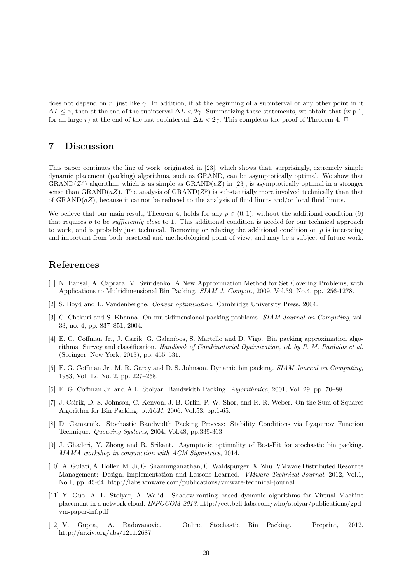does not depend on r, just like  $\gamma$ . In addition, if at the beginning of a subinterval or any other point in it  $\Delta L \leq \gamma$ , then at the end of the subinterval  $\Delta L < 2\gamma$ . Summarizing these statements, we obtain that (w.p.1, for all large r) at the end of the last subinterval,  $\Delta L < 2\gamma$ . This completes the proof of Theorem 4.  $\Box$ 

### 7 Discussion

This paper continues the line of work, originated in [23], which shows that, surprisingly, extremely simple dynamic placement (packing) algorithms, such as GRAND, can be asymptotically optimal. We show that GRAND( $Z<sup>p</sup>$ ) algorithm, which is as simple as GRAND( $aZ$ ) in [23], is asymptotically optimal in a stronger sense than  $\text{GRAND}(aZ)$ . The analysis of  $\text{GRAND}(Z^p)$  is substantially more involved technically than that of GRAND( $aZ$ ), because it cannot be reduced to the analysis of fluid limits and/or local fluid limits.

We believe that our main result, Theorem 4, holds for any  $p \in (0,1)$ , without the additional condition (9) that requires  $p$  to be *sufficiently close* to 1. This additional condition is needed for our technical approach to work, and is probably just technical. Removing or relaxing the additional condition on  $p$  is interesting and important from both practical and methodological point of view, and may be a subject of future work.

### References

- [1] N. Bansal, A. Caprara, M. Sviridenko. A New Approximation Method for Set Covering Problems, with Applications to Multidimensional Bin Packing. SIAM J. Comput., 2009, Vol.39, No.4, pp.1256-1278.
- [2] S. Boyd and L. Vandenberghe. Convex optimization. Cambridge University Press, 2004.
- [3] C. Chekuri and S. Khanna. On multidimensional packing problems. *SIAM Journal on Computing*, vol. 33, no. 4, pp. 837–851, 2004.
- [4] E. G. Coffman Jr., J. Csirik, G. Galambos, S. Martello and D. Vigo. Bin packing approximation algorithms: Survey and classification. Handbook of Combinatorial Optimization, ed. by P. M. Pardalos et al. (Springer, New York, 2013), pp. 455–531.
- [5] E. G. Coffman Jr., M. R. Garey and D. S. Johnson. Dynamic bin packing. SIAM Journal on Computing, 1983, Vol. 12, No. 2, pp. 227–258.
- [6] E. G. Coffman Jr. and A.L. Stolyar. Bandwidth Packing. Algorithmica, 2001, Vol. 29, pp. 70–88.
- [7] J. Csirik, D. S. Johnson, C. Kenyon, J. B. Orlin, P. W. Shor, and R. R. Weber. On the Sum-of-Squares Algorithm for Bin Packing. J.ACM, 2006, Vol.53, pp.1-65.
- [8] D. Gamarnik. Stochastic Bandwidth Packing Process: Stability Conditions via Lyapunov Function Technique. Queueing Systems, 2004, Vol.48, pp.339-363.
- [9] J. Ghaderi, Y. Zhong and R. Srikant. Asymptotic optimality of Best-Fit for stochastic bin packing. MAMA workshop in conjunction with ACM Sigmetrics, 2014.
- [10] A. Gulati, A. Holler, M. Ji, G. Shanmuganathan, C. Waldspurger, X. Zhu. VMware Distributed Resource Management: Design, Implementation and Lessons Learned. *VMware Technical Journal*, 2012, Vol.1, No.1, pp. 45-64. http://labs.vmware.com/publications/vmware-technical-journal
- [11] Y. Guo, A. L. Stolyar, A. Walid. Shadow-routing based dynamic algorithms for Virtual Machine placement in a network cloud. INFOCOM-2013. http://ect.bell-labs.com/who/stolyar/publications/gpdvm-paper-inf.pdf
- [12] V. Gupta, A. Radovanovic. Online Stochastic Bin Packing. Preprint, 2012. http://arxiv.org/abs/1211.2687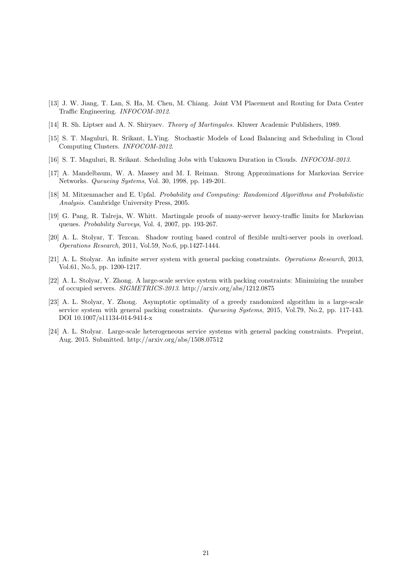- [13] J. W. Jiang, T. Lan, S. Ha, M. Chen, M. Chiang. Joint VM Placement and Routing for Data Center Traffic Engineering. INFOCOM-2012.
- [14] R. Sh. Liptser and A. N. Shiryaev. Theory of Martingales. Kluwer Academic Publishers, 1989.
- [15] S. T. Maguluri, R. Srikant, L.Ying. Stochastic Models of Load Balancing and Scheduling in Cloud Computing Clusters. INFOCOM-2012.
- [16] S. T. Maguluri, R. Srikant. Scheduling Jobs with Unknown Duration in Clouds. INFOCOM-2013.
- [17] A. Mandelbaum, W. A. Massey and M. I. Reiman. Strong Approximations for Markovian Service Networks. Queueing Systems, Vol. 30, 1998, pp. 149-201.
- [18] M. Mitzenmacher and E. Upfal. Probability and Computing: Randomized Algorithms and Probabilistic Analysis. Cambridge University Press, 2005.
- [19] G. Pang, R. Talreja, W. Whitt. Martingale proofs of many-server heavy-traffic limits for Markovian queues. Probability Surveys, Vol. 4, 2007, pp. 193-267.
- [20] A. L. Stolyar, T. Tezcan. Shadow routing based control of flexible multi-server pools in overload. Operations Research, 2011, Vol.59, No.6, pp.1427-1444.
- [21] A. L. Stolyar. An infinite server system with general packing constraints. Operations Research, 2013, Vol.61, No.5, pp. 1200-1217.
- [22] A. L. Stolyar, Y. Zhong. A large-scale service system with packing constraints: Minimizing the number of occupied servers. SIGMETRICS-2013. http://arxiv.org/abs/1212.0875
- [23] A. L. Stolyar, Y. Zhong. Asymptotic optimality of a greedy randomized algorithm in a large-scale service system with general packing constraints. Queueing Systems, 2015, Vol.79, No.2, pp. 117-143. DOI 10.1007/s11134-014-9414-x
- [24] A. L. Stolyar. Large-scale heterogeneous service systems with general packing constraints. Preprint, Aug. 2015. Submitted. http://arxiv.org/abs/1508.07512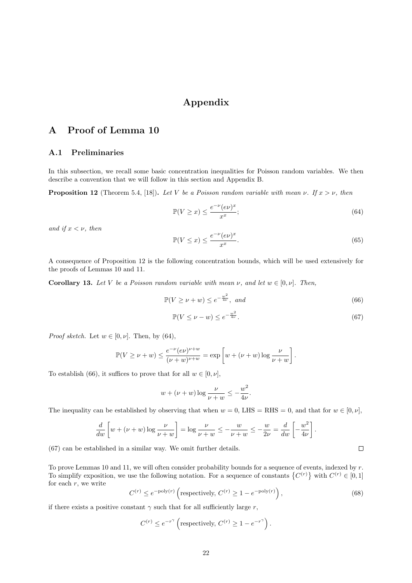# Appendix

# A Proof of Lemma 10

### A.1 Preliminaries

In this subsection, we recall some basic concentration inequalities for Poisson random variables. We then describe a convention that we will follow in this section and Appendix B.

**Proposition 12** (Theorem 5.4, [18]). Let V be a Poisson random variable with mean  $\nu$ . If  $x > \nu$ , then

$$
\mathbb{P}(V \ge x) \le \frac{e^{-\nu} (e\nu)^x}{x^x};\tag{64}
$$

and if  $x < \nu$ , then

$$
\mathbb{P}(V \le x) \le \frac{e^{-\nu} (e\nu)^x}{x^x}.
$$
\n(65)

A consequence of Proposition 12 is the following concentration bounds, which will be used extensively for the proofs of Lemmas 10 and 11.

**Corollary 13.** Let V be a Poisson random variable with mean  $\nu$ , and let  $w \in [0, \nu]$ . Then,

$$
\mathbb{P}(V \ge \nu + w) \le e^{-\frac{w^2}{4\nu}}, \text{ and} \tag{66}
$$

$$
\mathbb{P}(V \le \nu - w) \le e^{-\frac{w^2}{4\nu}}.\tag{67}
$$

 $\Box$ 

*Proof sketch.* Let  $w \in [0, \nu]$ . Then, by (64),

$$
\mathbb{P}(V \geq \nu + w) \leq \frac{e^{-\nu} (e\nu)^{\nu+w}}{(\nu+w)^{\nu+w}} = \exp \left[ w + (\nu+w) \log \frac{\nu}{\nu+w} \right].
$$

To establish (66), it suffices to prove that for all  $w \in [0, \nu]$ ,

$$
w + (\nu + w) \log \frac{\nu}{\nu + w} \le -\frac{w^2}{4\nu}.
$$

The inequality can be established by observing that when  $w = 0$ , LHS = RHS = 0, and that for  $w \in [0, \nu]$ ,

$$
\frac{d}{dw}\left[w + (\nu + w)\log\frac{\nu}{\nu + w}\right] = \log\frac{\nu}{\nu + w} \le -\frac{w}{\nu + w} \le -\frac{w}{2\nu} = \frac{d}{dw}\left[-\frac{w^2}{4\nu}\right].
$$

(67) can be established in a similar way. We omit further details.

To prove Lemmas 10 and 11, we will often consider probability bounds for a sequence of events, indexed by r. To simplify exposition, we use the following notation. For a sequence of constants  $\{C^{(r)}\}$  with  $C^{(r)} \in [0,1]$ for each  $r$ , we write

$$
C^{(r)} \le e^{-\text{poly}(r)} \left( \text{respectively, } C^{(r)} \ge 1 - e^{-\text{poly}(r)} \right),\tag{68}
$$

if there exists a positive constant  $\gamma$  such that for all sufficiently large r,

$$
C^{(r)} \le e^{-r^{\gamma}} \left( \text{respectively, } C^{(r)} \ge 1 - e^{-r^{\gamma}} \right).
$$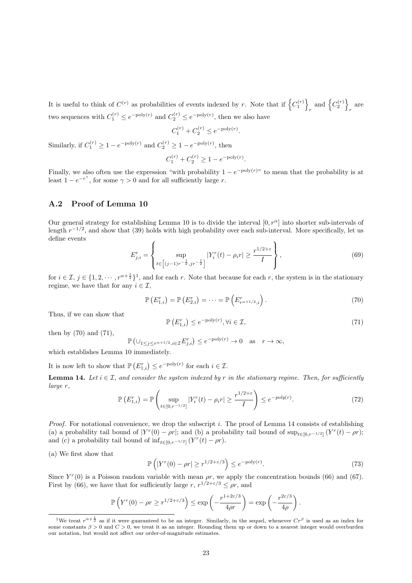It is useful to think of  $C^{(r)}$  as probabilities of events indexed by r. Note that if  $\left\{C_1^{(r)}\right\}$  $_{r}$  and  $\left\{ C_{2}^{(r)}\right\}$ r are two sequences with  $C_1^{(r)} \le e^{-\text{poly}(r)}$  and  $C_2^{(r)} \le e^{-\text{poly}(r)}$ , then we also have

$$
C_1^{(r)} + C_2^{(r)} \le e^{-\text{poly}(r)}.
$$

Similarly, if  $C_1^{(r)} \ge 1 - e^{-\text{poly}(r)}$  and  $C_2^{(r)} \ge 1 - e^{-\text{poly}(r)}$ , then

$$
C_1^{(r)} + C_2^{(r)} \ge 1 - e^{-\text{poly}(r)}.
$$

Finally, we also often use the expression "with probability  $1 - e^{-poly(r)}$ " to mean that the probability is at least  $1 - e^{-r^{\gamma}}$ , for some  $\gamma > 0$  and for all sufficiently large r.

#### A.2 Proof of Lemma 10

Our general strategy for establishing Lemma 10 is to divide the interval  $[0, r^{\alpha}]$  into shorter sub-intervals of length  $r^{-1/2}$ , and show that (39) holds with high probability over each sub-interval. More specifically, let us define events

$$
E_{j,i}^{r} = \left\{ \sup_{t \in \left[ (j-1)r^{-\frac{1}{2}}, jr^{-\frac{1}{2}} \right]} |Y_{i}^{r}(t) - \rho_{i}r| \geq \frac{r^{1/2+\varepsilon}}{I} \right\},
$$
\n(69)

for  $i \in \mathcal{I}, j \in \{1, 2, \cdots, r^{\alpha + \frac{1}{2}}\}^1$ , and for each r. Note that because for each r, the system is in the stationary regime, we have that for any  $i \in \mathcal{I}$ ,

$$
\mathbb{P}\left(E_{1,i}^{r}\right) = \mathbb{P}\left(E_{2,i}^{r}\right) = \cdots = \mathbb{P}\left(E_{r^{\alpha+1/2},i}^{r}\right).
$$
\n(70)

Thus, if we can show that

$$
\mathbb{P}\left(E_{1,i}^r\right) \le e^{-\text{poly}(r)}, \forall i \in \mathcal{I},\tag{71}
$$

then by  $(70)$  and  $(71)$ ,

$$
\mathbb{P}\left(\cup_{1\leq j\leq r^{\alpha+1/2}, i\in\mathcal{I}}E_{j,i}^r\right)\leq e^{-\text{poly}(r)}\to 0 \quad \text{as} \quad r\to\infty,
$$

which establishes Lemma 10 immediately.

It is now left to show that  $\mathbb{P}\left(E_{1,i}^r\right) \leq e^{-\text{poly}(r)}$  for each  $i \in \mathcal{I}$ .

**Lemma 14.** Let  $i \in \mathcal{I}$ , and consider the system indexed by r in the stationary regime. Then, for sufficiently large r,

$$
\mathbb{P}\left(E_{1,i}^r\right) = \mathbb{P}\left(\sup_{t \in [0,r^{-1/2}]} |Y_i^r(t) - \rho_i r| \ge \frac{r^{1/2 + \varepsilon}}{I}\right) \le e^{-poly(r)}.\tag{72}
$$

*Proof.* For notational convenience, we drop the subscript i. The proof of Lemma 14 consists of establishing (a) a probability tail bound of  $|Y^r(0) - \rho r|$ ; and (b) a probability tail bound of sup<sub>t∈[0,r</sub>-1/2]  $(Y^r(t) - \rho r)$ ; and (c) a probability tail bound of  $\inf_{t \in [0,r^{-1/2}]} (Y^r(t) - \rho r)$ .

(a) We first show that

$$
\mathbb{P}\left(|Y^r(0) - \rho r| \ge r^{1/2 + \varepsilon/3}\right) \le e^{-\text{poly}(r)}.\tag{73}
$$

Since  $Y^r(0)$  is a Poisson random variable with mean  $\rho r$ , we apply the concentration bounds (66) and (67). First by (66), we have that for sufficiently large  $r, r^{1/2+\epsilon/3} \le \rho r$ , and

$$
\mathbb{P}\left(Y^r(0) - \rho r \geq r^{1/2 + \varepsilon/3}\right) \leq \exp\left(-\frac{r^{1+2\varepsilon/3}}{4\rho r}\right) = \exp\left(-\frac{r^{2\varepsilon/3}}{4\rho}\right).
$$

<sup>&</sup>lt;sup>1</sup>We treat  $r^{\alpha+\frac{1}{2}}$  as if it were guaranteed to be an integer. Similarly, in the sequel, whenever  $Cr^{\beta}$  is used as an index for some constants  $\beta > 0$  and  $C > 0$ , we treat it as an integer. Rounding them up or down to a nearest integer would overburden our notation, but would not affect our order-of-magnitude estimates.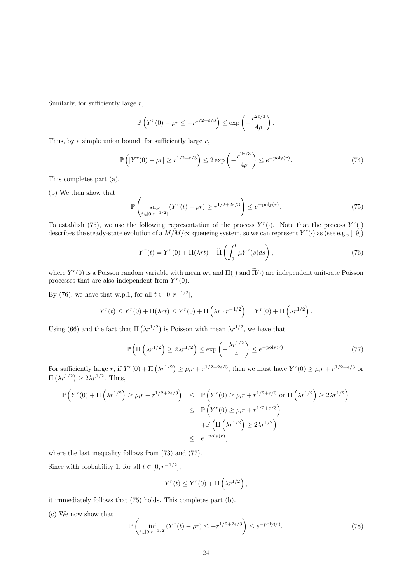Similarly, for sufficiently large  $r$ ,

$$
\mathbb{P}\left(Y^r(0) - \rho r \leq -r^{1/2+\varepsilon/3}\right) \leq \exp\left(-\frac{r^{2\varepsilon/3}}{4\rho}\right).
$$

Thus, by a simple union bound, for sufficiently large  $r$ ,

$$
\mathbb{P}\left(|Y^r(0) - \rho r| \ge r^{1/2 + \varepsilon/3}\right) \le 2\exp\left(-\frac{r^{2\varepsilon/3}}{4\rho}\right) \le e^{-\text{poly}(r)}.\tag{74}
$$

This completes part (a).

(b) We then show that

$$
\mathbb{P}\left(\sup_{t\in[0,r^{-1/2}]} (Y^r(t) - \rho r) \ge r^{1/2 + 2\varepsilon/3}\right) \le e^{-\text{poly}(r)}.
$$
\n(75)

To establish (75), we use the following representation of the process  $Y^r(\cdot)$ . Note that the process  $Y^r(\cdot)$ describes the steady-state evolution of a  $M/M/\infty$  queueing system, so we can represent  $Y^r(\cdot)$  as (see e.g., [19])

$$
Y^{r}(t) = Y^{r}(0) + \Pi(\lambda rt) - \widetilde{\Pi}\left(\int_{0}^{t} \mu Y^{r}(s)ds\right),\tag{76}
$$

where  $Y^r(0)$  is a Poisson random variable with mean  $\rho r$ , and  $\Pi(\cdot)$  and  $\Pi(\cdot)$  are independent unit-rate Poisson processes that are also independent from  $Y^r(0)$ .

By (76), we have that w.p.1, for all  $t \in [0, r^{-1/2}]$ ,

$$
Y^r(t) \leq Y^r(0) + \Pi(\lambda rt) \leq Y^r(0) + \Pi\left(\lambda r \cdot r^{-1/2}\right) = Y^r(0) + \Pi\left(\lambda r^{1/2}\right).
$$

Using (66) and the fact that  $\Pi(\lambda r^{1/2})$  is Poisson with mean  $\lambda r^{1/2}$ , we have that

$$
\mathbb{P}\left(\Pi\left(\lambda r^{1/2}\right) \ge 2\lambda r^{1/2}\right) \le \exp\left(-\frac{\lambda r^{1/2}}{4}\right) \le e^{-\text{poly}(r)}.\tag{77}
$$

For sufficiently large r, if  $Y^r(0) + \Pi(\lambda r^{1/2}) \ge \rho_i r + r^{1/2+2\varepsilon/3}$ , then we must have  $Y^r(0) \ge \rho_i r + r^{1/2+\varepsilon/3}$  or  $\Pi\left(\lambda r^{1/2}\right) \geq 2\lambda r^{1/2}$ . Thus,

$$
\mathbb{P}\left(Y^{r}(0) + \Pi\left(\lambda r^{1/2}\right) \ge \rho_i r + r^{1/2 + 2\varepsilon/3}\right) \le \mathbb{P}\left(Y^{r}(0) \ge \rho_i r + r^{1/2 + \varepsilon/3} \text{ or } \Pi\left(\lambda r^{1/2}\right) \ge 2\lambda r^{1/2}\right)
$$
  
\n
$$
\le \mathbb{P}\left(Y^{r}(0) \ge \rho_i r + r^{1/2 + \varepsilon/3}\right)
$$
  
\n
$$
+ \mathbb{P}\left(\Pi\left(\lambda r^{1/2}\right) \ge 2\lambda r^{1/2}\right)
$$
  
\n
$$
\le e^{-\text{poly}(r)},
$$

where the last inequality follows from (73) and (77).

Since with probability 1, for all  $t \in [0, r^{-1/2}]$ ,

$$
Y^{r}(t) \leq Y^{r}(0) + \Pi\left(\lambda r^{1/2}\right),
$$

it immediately follows that (75) holds. This completes part (b).

(c) We now show that

$$
\mathbb{P}\left(\inf_{t\in[0,r^{-1/2}]} (Y^r(t) - \rho r) \leq -r^{1/2 + 2\varepsilon/3}\right) \leq e^{-\text{poly}(r)}.
$$
\n(78)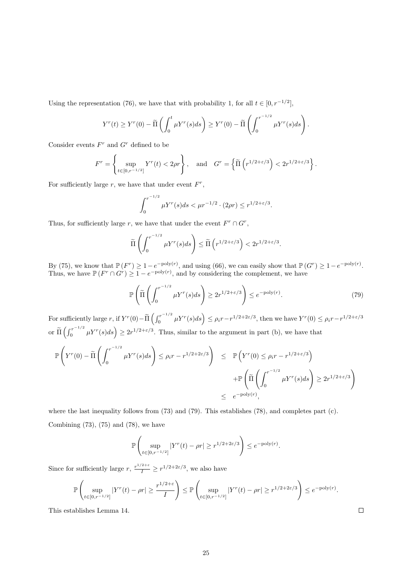Using the representation (76), we have that with probability 1, for all  $t \in [0, r^{-1/2}]$ ,

$$
Y^{r}(t) \geq Y^{r}(0) - \widetilde{\Pi}\left(\int_0^t \mu Y^{r}(s)ds\right) \geq Y^{r}(0) - \widetilde{\Pi}\left(\int_0^{r^{-1/2}} \mu Y^{r}(s)ds\right).
$$

Consider events  $F^r$  and  $G^r$  defined to be

$$
F^r = \left\{ \sup_{t \in [0, r^{-1/2}]} Y^r(t) < 2\rho r \right\}, \quad \text{and} \quad G^r = \left\{ \widetilde{\Pi} \left( r^{1/2 + \varepsilon/3} \right) < 2r^{1/2 + \varepsilon/3} \right\}.
$$

For sufficiently large  $r$ , we have that under event  $F^r$ ,

$$
\int_0^{r^{-1/2}} \mu Y^r(s) ds < \mu r^{-1/2} \cdot (2\rho r) \le r^{1/2 + \varepsilon/3}.
$$

Thus, for sufficiently large r, we have that under the event  $F^r \cap G^r$ ,

$$
\widetilde{\Pi}\left(\int_0^{r^{-1/2}} \mu Y^r(s) ds\right) \le \widetilde{\Pi}\left(r^{1/2+\varepsilon/3}\right) < 2r^{1/2+\varepsilon/3}.
$$

By (75), we know that  $\mathbb{P}(F^r) \geq 1 - e^{-\text{poly}(r)}$ , and using (66), we can easily show that  $\mathbb{P}(G^r) \geq 1 - e^{-\text{poly}(r)}$ . Thus, we have  $\mathbb{P}(F^r \cap G^r) \geq 1 - e^{-\text{poly}(r)}$ , and by considering the complement, we have

$$
\mathbb{P}\left(\widetilde{\Pi}\left(\int_0^{r^{-1/2}} \mu Y^r(s)ds\right) \ge 2r^{1/2+\varepsilon/3}\right) \le e^{-\text{poly}(r)}.\tag{79}
$$

For sufficiently large r, if  $Y^r(0) - \tilde{\Pi} \left( \int_0^{r^{-1/2}}$  $\int_0^{r^{-1/2}} \mu Y^r(s) ds \bigg) \leq \rho_i r^{-1/2 + 2\varepsilon/3}$ , then we have  $Y^r(0) \leq \rho_i r^{-1/2 + \varepsilon/3}$ or  $\widetilde{\Pi} \left( \int_0^{r^{-1/2}}$  $\binom{1}{0}^{n-r-1/2} \mu Y^{r}(s) ds$   $\geq 2r^{1/2+\epsilon/3}$ . Thus, similar to the argument in part (b), we have that

$$
\mathbb{P}\left(Y^{r}(0) - \tilde{\Pi}\left(\int_{0}^{r^{-1/2}} \mu Y^{r}(s)ds\right) \leq \rho_{i}r - r^{1/2+2\varepsilon/3}\right) \leq \mathbb{P}\left(Y^{r}(0) \leq \rho_{i}r - r^{1/2+\varepsilon/3}\right)
$$

$$
+ \mathbb{P}\left(\tilde{\Pi}\left(\int_{0}^{r^{-1/2}} \mu Y^{r}(s)ds\right) \geq 2r^{1/2+\varepsilon/3}\right)
$$

$$
\leq e^{-\text{poly}(r)},
$$

where the last inequality follows from (73) and (79). This establishes (78), and completes part (c). Combining  $(73)$ ,  $(75)$  and  $(78)$ , we have

$$
\mathbb{P}\left(\sup_{t\in[0,r^{-1/2}]}|Y^r(t)-\rho r|\geq r^{1/2+2\varepsilon/3}\right)\leq e^{-\text{poly}(r)}.
$$

Since for sufficiently large  $r, \frac{r^{1/2+\varepsilon}}{I} \geq r^{1/2+2\varepsilon/3}$ , we also have

$$
\mathbb{P}\left(\sup_{t\in[0,r^{-1/2}]}|Y^r(t)-\rho r|\geq \frac{r^{1/2+\varepsilon}}{I}\right)\leq \mathbb{P}\left(\sup_{t\in[0,r^{-1/2}]}|Y^r(t)-\rho r|\geq r^{1/2+2\varepsilon/3}\right)\leq e^{-\text{poly}(r)}.
$$

This establishes Lemma 14.

 $\Box$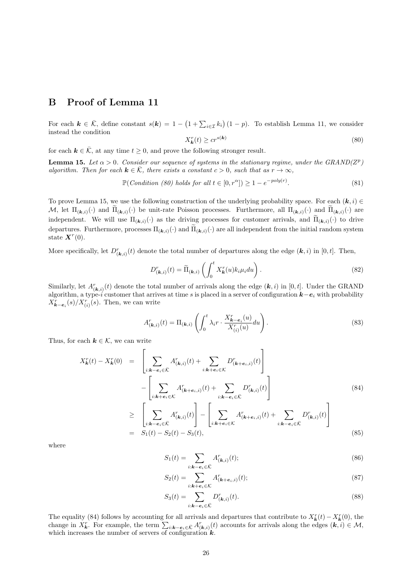# B Proof of Lemma 11

For each  $k \in \overline{K}$ , define constant  $s(k) = 1 - (1 + \sum_{i \in \mathcal{I}} k_i)(1 - p)$ . To establish Lemma 11, we consider instead the condition

$$
X_{\mathbf{k}}^r(t) \ge c r^{s(\mathbf{k})} \tag{80}
$$

for each  $k \in \overline{K}$ , at any time  $t \geq 0$ , and prove the following stronger result.

**Lemma 15.** Let  $\alpha > 0$ . Consider our sequence of systems in the stationary regime, under the GRAND( $Z^p$ ) algorithm. Then for each  $k \in \overline{K}$ , there exists a constant  $c > 0$ , such that as  $r \to \infty$ ,

$$
\mathbb{P}(Condition (80) holds for all  $t \in [0, r^{\alpha}]) \ge 1 - e^{-poly(r)}$ . (81)
$$

To prove Lemma 15, we use the following construction of the underlying probability space. For each  $(k, i) \in$ M, let  $\Pi_{(\mathbf{k},i)}(\cdot)$  and  $\Pi_{(\mathbf{k},i)}(\cdot)$  be unit-rate Poisson processes. Furthermore, all  $\Pi_{(\mathbf{k},i)}(\cdot)$  and  $\Pi_{(\mathbf{k},i)}(\cdot)$  are independent. We will use  $\Pi_{(\mathbf{k},i)}(\cdot)$  as the driving processes for customer arrivals, and  $\Pi_{(\mathbf{k},i)}(\cdot)$  to drive departures. Furthermore, processes  $\Pi_{(k,i)}(\cdot)$  and  $\Pi_{(k,i)}(\cdot)$  are all independent from the initial random system state  $\mathbf{X}^r(0)$ .

More specifically, let  $D^r_{(k,i)}(t)$  denote the total number of departures along the edge  $(k, i)$  in [0, t]. Then,

$$
D_{(\mathbf{k},i)}^r(t) = \widetilde{\Pi}_{(\mathbf{k},i)}\left(\int_0^t X_{\mathbf{k}}^r(u)k_i\mu_i du\right).
$$
 (82)

Similarly, let  $A_{(k,i)}^r(t)$  denote the total number of arrivals along the edge  $(k,i)$  in [0, t]. Under the GRAND algorithm, a type-i customer that arrives at time s is placed in a server of configuration  $k-e_i$  with probability  $X_{\boldsymbol{k}-\boldsymbol{e}_i}^r(s)/X_{(i)}^r(s)$ . Then, we can write

$$
A_{(\mathbf{k},i)}^r(t) = \Pi_{(\mathbf{k},i)} \left( \int_0^t \lambda_i r \cdot \frac{X_{\mathbf{k}-\mathbf{e}_i}^r(u)}{X_{(i)}^r(u)} du \right).
$$
 (83)

Thus, for each  $k \in \mathcal{K}$ , we can write

$$
X_{\mathbf{k}}^{r}(t) - X_{\mathbf{k}}^{r}(0) = \left[ \sum_{i:\mathbf{k}-\mathbf{e}_{i}\in\bar{\mathcal{K}}} A_{(\mathbf{k},i)}^{r}(t) + \sum_{i:\mathbf{k}+\mathbf{e}_{i}\in\mathcal{K}} D_{(\mathbf{k}+\mathbf{e}_{i},i)}^{r}(t) \right] - \left[ \sum_{i:\mathbf{k}+\mathbf{e}_{i}\in\mathcal{K}} A_{(\mathbf{k}+\mathbf{e}_{i},i)}^{r}(t) + \sum_{i:\mathbf{k}-\mathbf{e}_{i}\in\bar{\mathcal{K}}} D_{(\mathbf{k},i)}^{r}(t) \right]
$$
(84)

$$
\geq \left[ \sum_{i:\mathbf{k}-\mathbf{e}_i \in \bar{\mathcal{K}}} A^r_{(\mathbf{k},i)}(t) \right] - \left[ \sum_{i:\mathbf{k}+\mathbf{e}_i \in \mathcal{K}} A^r_{(\mathbf{k}+\mathbf{e}_i,i)}(t) + \sum_{i:\mathbf{k}-\mathbf{e}_i \in \bar{\mathcal{K}}} D^r_{(\mathbf{k},i)}(t) \right]
$$
\n
$$
= S_1(t) - S_2(t) - S_3(t), \tag{85}
$$

where

$$
S_1(t) = \sum_{i:k-e_i \in \bar{\mathcal{K}}} A_{(k,i)}^r(t);
$$
\n(86)

$$
S_2(t) = \sum_{i:\mathbf{k}+\mathbf{e}_i \in \mathcal{K}} A_{(\mathbf{k}+\mathbf{e}_i,i)}^r(t); \tag{87}
$$

$$
S_3(t) = \sum_{i:k-e_i \in \bar{\mathcal{K}}} D_{(k,i)}^r(t).
$$
\n(88)

The equality (84) follows by accounting for all arrivals and departures that contribute to  $X_{\mathbf{k}}^r(t) - X_{\mathbf{k}}^r(0)$ , the change in  $X_{\boldsymbol{k}}^r$ . For example, the term  $\sum_{i:\boldsymbol{k}-\boldsymbol{e}_i\in\bar{\mathcal{K}}} A_{(\boldsymbol{k},i)}^r(t)$  accounts for arrivals along the edges  $(\boldsymbol{k},i)\in\mathcal{M}$ , which increases the number of servers of configuration  $k$ .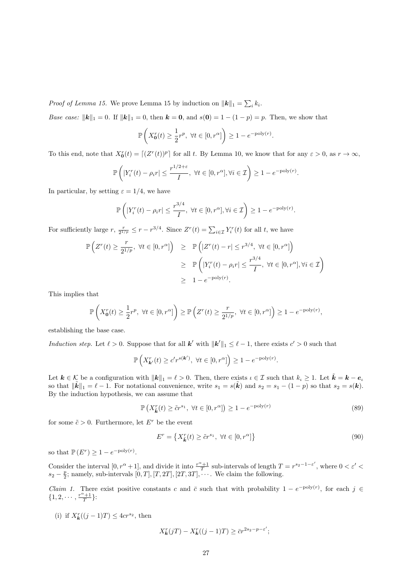*Proof of Lemma 15.* We prove Lemma 15 by induction on  $||\mathbf{k}||_1 = \sum_i k_i$ .

*Base case:*  $||\mathbf{k}||_1 = 0$ . If  $||\mathbf{k}||_1 = 0$ , then  $\mathbf{k} = \mathbf{0}$ , and  $s(\mathbf{0}) = 1 - (1 - p) = p$ . Then, we show that

$$
\mathbb{P}\left(X_0^r(t) \ge \frac{1}{2}r^p, \ \forall t \in [0, r^{\alpha}]\right) \ge 1 - e^{-\text{poly}(r)}.
$$

To this end, note that  $X_0^r(t) = \lfloor (Z^r(t))^p \rfloor$  for all t. By Lemma 10, we know that for any  $\varepsilon > 0$ , as  $r \to \infty$ ,

$$
\mathbb{P}\left(\left|Y_i^r(t) - \rho_i r\right| \leq \frac{r^{1/2+\varepsilon}}{I}, \ \forall t \in [0,r^\alpha], \forall i \in \mathcal{I}\right) \geq 1 - e^{-\text{poly}(r)}.
$$

In particular, by setting  $\varepsilon = 1/4$ , we have

$$
\mathbb{P}\left(|Y_i^r(t) - \rho_i r| \le \frac{r^{3/4}}{I}, \ \forall t \in [0, r^{\alpha}], \forall i \in \mathcal{I}\right) \ge 1 - e^{-\text{poly}(r)}.
$$

For sufficiently large  $r, \frac{r}{2^{1/p}} \leq r - r^{3/4}$ . Since  $Z^r(t) = \sum_{i \in \mathcal{I}} Y_i^r(t)$  for all t, we have

$$
\mathbb{P}\left(Z^r(t) \ge \frac{r}{2^{1/p}}, \ \forall t \in [0, r^{\alpha}]\right) \ge \mathbb{P}\left(|Z^r(t) - r| \le r^{3/4}, \ \forall t \in [0, r^{\alpha}]\right)
$$

$$
\ge \mathbb{P}\left(|Y_i^r(t) - \rho_i r| \le \frac{r^{3/4}}{I}, \ \forall t \in [0, r^{\alpha}], \forall i \in \mathcal{I}\right)
$$

$$
\ge 1 - e^{-\text{poly}(r)}.
$$

This implies that

$$
\mathbb{P}\left(X_0^r(t) \ge \frac{1}{2}r^p, \ \forall t \in [0, r^{\alpha}]\right) \ge \mathbb{P}\left(Z^r(t) \ge \frac{r}{2^{1/p}}, \ \forall t \in [0, r^{\alpha}]\right) \ge 1 - e^{-\text{poly}(r)},
$$

establishing the base case.

Induction step. Let  $\ell > 0$ . Suppose that for all **k'** with  $\|\mathbf{k}'\|_1 \leq \ell - 1$ , there exists  $c' > 0$  such that

$$
\mathbb{P}\left(X_{\mathbf{k}'}^r(t) \ge c'r^{s(\mathbf{k}')} , \ \forall t \in [0, r^{\alpha}] \right) \ge 1 - e^{-\text{poly}(r)}.
$$

Let  $k \in \mathcal{K}$  be a configuration with  $||\mathbf{k}||_1 = \ell > 0$ . Then, there exists  $\iota \in \mathcal{I}$  such that  $k_{\iota} \geq 1$ . Let  $\tilde{\mathbf{k}} = \mathbf{k} - \mathbf{e}_{\iota}$ so that  $\|\tilde{k}\|_1 = \ell - 1$ . For notational convenience, write  $s_1 = s(\tilde{k})$  and  $s_2 = s_1 - (1 - p)$  so that  $s_2 = s(k)$ . By the induction hypothesis, we can assume that

$$
\mathbb{P}\left(X_{\tilde{k}}^r(t) \ge \tilde{c}r^{s_1}, \ \forall t \in [0, r^{\alpha}]\right) \ge 1 - e^{-\text{poly}(r)}\tag{89}
$$

for some  $\tilde{c} > 0$ . Furthermore, let  $E^r$  be the event

$$
E^r = \left\{ X_{\tilde{k}}^r(t) \ge \tilde{c}r^{s_1}, \ \forall t \in [0, r^{\alpha}] \right\}
$$
\n
$$
(90)
$$

so that  $\mathbb{P}(E^r) \geq 1 - e^{-\text{poly}(r)}$ .

Consider the interval  $[0, r^{\alpha}+1]$ , and divide it into  $\frac{r^{\alpha}+1}{T}$  sub-intervals of length  $T = r^{s_2-1-\varepsilon'}$ , where  $0 < \varepsilon' <$  $s_2 - \frac{p}{2}$ ; namely, sub-intervals  $[0, T]$ ,  $[T, 2T]$ ,  $[2T, 3T]$ ,  $\cdots$ . We claim the following.

*Claim 1.* There exist positive constants c and  $\bar{c}$  such that with probability  $1 - e^{-poly(r)}$ , for each  $j \in$  $\{1, 2, \cdots, \frac{r^{\alpha}+1}{T}\}$ :

(i) if  $X_{\mathbf{k}}^r((j-1)T) \leq 4cr^{s_2}$ , then

$$
X_{\mathbf{k}}^r(jT) - X_{\mathbf{k}}^r((j-1)T) \ge \bar{c}r^{2s_2 - p - \varepsilon'};
$$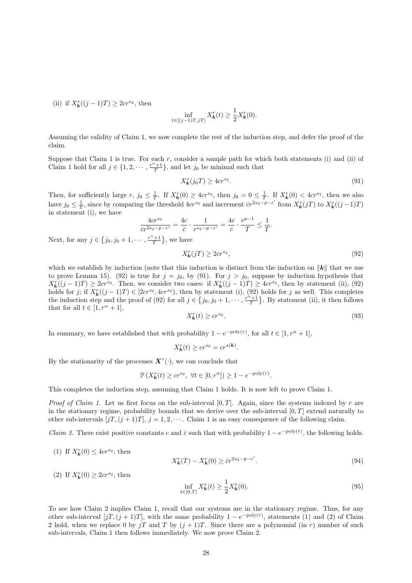(ii) if  $X_{\mathbf{k}}^r((j-1)T) \geq 2cr^{s_2}$ , then

$$
\inf_{t \in [(j-1)T, jT]} X_{\mathbf{k}}^r(t) \ge \frac{1}{2} X_{\mathbf{k}}^r(0).
$$

Assuming the validity of Claim 1, we now complete the rest of the induction step, and defer the proof of the claim.

Suppose that Claim 1 is true. For each  $r$ , consider a sample path for which both statements (i) and (ii) of Claim 1 hold for all  $j \in \{1, 2, \dots, \frac{r^{\alpha}+1}{T}\}\)$ , and let  $j_0$  be minimal such that

$$
X_k^r(j_0T) \ge 4cr^{s_2}.\tag{91}
$$

Then, for sufficiently large r,  $j_0 \n\t\leq \frac{1}{T}$ . If  $X_k^r(0) \geq 4cr^{s_2}$ , then  $j_0 = 0 \leq \frac{1}{T}$ . If  $X_k^r(0) < 4cr^{s_2}$ , then we also have  $j_0 \leq \frac{1}{T}$ , since by comparing the threshold  $4cr^{s_2}$  and increment  $\bar{c}r^{2s_2-p-\varepsilon'}$  from  $X^r_{\mathbf{k}}(jT)$  to  $X^r_{\mathbf{k}}((j-1)T)$ in statement (i), we have

$$
\frac{4cr^{s_2}}{\bar{c}r^{2s_2-p-\varepsilon'}} = \frac{4c}{\bar{c}} \cdot \frac{1}{r^{s_2-p-\varepsilon'}} = \frac{4c}{\bar{c}} \cdot \frac{r^{p-1}}{T} \le \frac{1}{T}.
$$
  
  $\cdots$   $\frac{r^{\alpha}+1}{T}$ , we have

Next, for any  $j \in \{j_0, j_0 + 1, \dots,$ 

$$
X_k^r(jT) \ge 2cr^{s_2},\tag{92}
$$

which we establish by induction (note that this induction is distinct from the induction on  $\|\mathbf{k}\|$  that we use to prove Lemma 15). (92) is true for  $j = j_0$ , by (91). For  $j > j_0$ , suppose by induction hypothesis that  $X_{\mathbf{k}}^r((j-1)T) \ge 2cr^{s_2}$ . Then, we consider two cases: if  $X_{\mathbf{k}}^r((j-1)T) \ge 4cr^{s_2}$ , then by statement (ii), (92) holds for j; if  $X_{\mathbf{k}}^{r}((j-1)T) \in [2cr^{s_2}, 4cr^{s_2})$ , then by statement (i), (92) holds for j as well. This completes the induction step and the proof of (92) for all  $j \in \{j_0, j_0 + 1, \dots, \frac{r^{\alpha}+1}{T}\}\.$  By statement (ii), it then follows that for all  $t \in [1, r^{\alpha} + 1]$ ,

$$
X_k^r(t) \ge c r^{s_2}.\tag{93}
$$

In summary, we have established that with probability  $1 - e^{-\text{poly}(r)}$ , for all  $t \in [1, r^{\alpha} + 1]$ ,

$$
X_{\mathbf{k}}^r(t) \ge cr^{s_2} = cr^{s(\mathbf{k})}.
$$

By the stationarity of the processes  $\mathbf{X}^r(\cdot)$ , we can conclude that

$$
\mathbb{P}\left(X_{\mathbf{k}}^r(t) \geq c r^{s_2}, \ \forall t \in [0, r^{\alpha}]\right) \geq 1 - e^{-\text{poly}(r)}.
$$

This completes the induction step, assuming that Claim 1 holds. It is now left to prove Claim 1.

*Proof of Claim 1.* Let us first focus on the sub-interval  $[0, T]$ . Again, since the systems indexed by r are in the stationary regime, probability bounds that we derive over the sub-interval  $[0, T]$  extend naturally to other sub-intervals  $[jT, (j + 1)T], j = 1, 2, \cdots$ . Claim 1 is an easy consequence of the following claim.

*Claim 2.* There exist positive constants c and  $\bar{c}$  such that with probability  $1 - e^{-poly(r)}$ , the following holds.

$$
X_{\mathbf{k}}^r(T) - X_{\mathbf{k}}^r(0) \ge \bar{c}r^{2s_2 - p - \varepsilon'}.
$$
\n(94)

(2) If  $X_{\mathbf{k}}^r(0) \ge 2cr^{s_2}$ , then

(1) If  $X_{\mathbf{k}}^r(0) \leq 4cr^{s_2}$ , then

$$
\inf_{t \in [0,T]} X_k^r(t) \ge \frac{1}{2} X_k^r(0). \tag{95}
$$

To see how Claim 2 implies Claim 1, recall that our systems are in the stationary regime. Thus, for any other sub-interval  $[jT, (j + 1)T]$ , with the same probability  $1 - e^{-poly(r)}$ , statements (1) and (2) of Claim 2 hold, when we replace 0 by jT and T by  $(j + 1)T$ . Since there are a polynomial (in r) number of such sub-intervals, Claim 1 then follows immediately. We now prove Claim 2.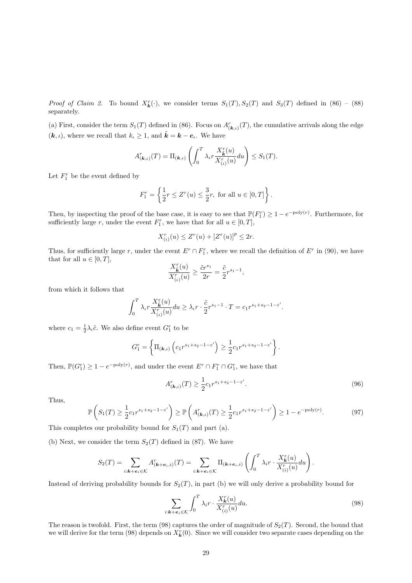*Proof of Claim 2.* To bound  $X_k^r(\cdot)$ , we consider terms  $S_1(T), S_2(T)$  and  $S_3(T)$  defined in (86) – (88) separately.

(a) First, consider the term  $S_1(T)$  defined in (86). Focus on  $A^r_{(\mathbf{k},\iota)}(T)$ , the cumulative arrivals along the edge  $(k, \iota)$ , where we recall that  $k_{\iota} \geq 1$ , and  $\tilde{k} = k - e_{\iota}$ . We have

$$
A_{(\mathbf{k},\iota)}^r(T) = \Pi_{(\mathbf{k},\iota)}\left(\int_0^T \lambda_\iota r \frac{X_\mathbf{k}^r(u)}{X_{(\iota)}^r(u)} du\right) \le S_1(T).
$$

Let  $F_1^r$  be the event defined by

$$
F_1^r = \left\{ \frac{1}{2}r \le Z^r(u) \le \frac{3}{2}r, \text{ for all } u \in [0, T] \right\}.
$$

Then, by inspecting the proof of the base case, it is easy to see that  $\mathbb{P}(F_1^r) \geq 1 - e^{-\text{poly}(r)}$ . Furthermore, for sufficiently large r, under the event  $F_1^r$ , we have that for all  $u \in [0, T]$ ,

$$
X_{(\iota)}^r(u) \le Z^r(u) + [Z^r(u)]^p \le 2r.
$$

Thus, for sufficiently large r, under the event  $E^r \cap F_1^r$ , where we recall the definition of  $E^r$  in (90), we have that for all  $u \in [0, T]$ ,

$$
\frac{X_{\tilde{\boldsymbol{k}}}^r(u)}{X_{(\iota)}^r(u)}\geq \frac{\tilde{c}r^{s_1}}{2r}=\frac{\tilde{c}}{2}r^{s_1-1},
$$

from which it follows that

$$
\int_0^T \lambda_t r \frac{X_k^r(u)}{X_{(t)}^r(u)} du \ge \lambda_t r \cdot \frac{\tilde{c}}{2} r^{s_1 - 1} \cdot T = c_1 r^{s_1 + s_2 - 1 - \varepsilon'}.
$$

where  $c_1 = \frac{1}{2}\lambda_i \tilde{c}$ . We also define event  $G_1^r$  to be

$$
G_1^r = \left\{ \Pi_{(\mathbf{k},\iota)} \left( c_1 r^{s_1 + s_2 - 1 - \varepsilon'} \right) \ge \frac{1}{2} c_1 r^{s_1 + s_2 - 1 - \varepsilon'} \right\}.
$$

Then,  $\mathbb{P}(G_1^r) \geq 1 - e^{-\text{poly}(r)}$ , and under the event  $E^r \cap F_1^r \cap G_1^r$ , we have that

$$
A_{(k,\iota)}^r(T) \ge \frac{1}{2} c_1 r^{s_1 + s_2 - 1 - \varepsilon'}.
$$
\n(96)

Thus,

$$
\mathbb{P}\left(S_1(T) \ge \frac{1}{2}c_1r^{s_1+s_2-1-\varepsilon'}\right) \ge \mathbb{P}\left(A_{(k,\iota)}^r(T) \ge \frac{1}{2}c_1r^{s_1+s_2-1-\varepsilon'}\right) \ge 1 - e^{-\text{poly}(r)}.\tag{97}
$$

This completes our probability bound for  $S_1(T)$  and part (a).

(b) Next, we consider the term  $S_2(T)$  defined in (87). We have

$$
S_2(T) = \sum_{i:k+e_i \in \mathcal{K}} A_{(k+e_i,i)}^r(T) = \sum_{i:k+e_i \in \mathcal{K}} \Pi_{(k+e_i,i)} \left( \int_0^T \lambda_i r \cdot \frac{X_k^r(u)}{X_{(i)}^r(u)} du \right).
$$

Instead of deriving probability bounds for  $S_2(T)$ , in part (b) we will only derive a probability bound for

$$
\sum_{i:\mathbf{k}+\mathbf{e}_i\in\mathcal{K}} \int_0^T \lambda_i r \cdot \frac{X_\mathbf{k}^r(u)}{X_{(i)}^r(u)} du.
$$
\n(98)

The reason is twofold. First, the term (98) captures the order of magnitude of  $S_2(T)$ . Second, the bound that we will derive for the term (98) depends on  $X_k^r(0)$ . Since we will consider two separate cases depending on the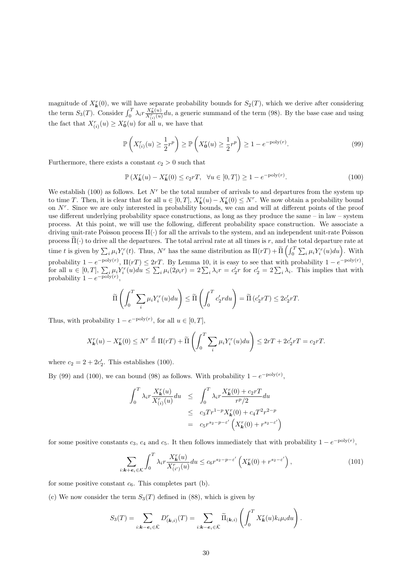magnitude of  $X_{\mathbf{k}}^r(0)$ , we will have separate probability bounds for  $S_2(T)$ , which we derive after considering the term  $S_3(T)$ . Consider  $\int_0^T \lambda_i r \frac{X_k^r(u)}{X_{(i)}^r(u)} du$ , a generic summand of the term (98). By the base case and using the fact that  $X_{(i)}^r(u) \ge X_0^r(u)$  for all u, we have that

$$
\mathbb{P}\left(X_{(i)}^r(u) \ge \frac{1}{2}r^p\right) \ge \mathbb{P}\left(X_0^r(u) \ge \frac{1}{2}r^p\right) \ge 1 - e^{-\text{poly}(r)}.\tag{99}
$$

Furthermore, there exists a constant  $c_2 > 0$  such that

 $\mathbb{P}(X_{\mathbf{k}}^r(u) - X_{\mathbf{k}}^r(0) \le c_2 rT, \ \ \forall u \in [0, T]) \ge 1 - e^{-\text{poly}(r)}$  $(100)$ 

We establish (100) as follows. Let  $N<sup>r</sup>$  be the total number of arrivals to and departures from the system up to time T. Then, it is clear that for all  $u \in [0,T]$ ,  $X_k^r(u) - X_k^r(0) \leq N^r$ . We now obtain a probability bound on  $N<sup>r</sup>$ . Since we are only interested in probability bounds, we can and will at different points of the proof use different underlying probability space constructions, as long as they produce the same – in law – system process. At this point, we will use the following, different probability space construction. We associate a driving unit-rate Poisson process Π(·) for all the arrivals to the system, and an independent unit-rate Poisson process  $\tilde{\Pi}(\cdot)$  to drive all the departures. The total arrival rate at all times is r, and the total departure rate at time t is given by  $\sum_i \mu_i Y_i^r(t)$ . Thus, N<sup>r</sup> has the same distribution as  $\Pi(rT) + \tilde{\Pi} \left( \int_0^T \sum_i \mu_i Y_i^r(u) du \right)$ . With probability  $1 - e^{-poly(r)}$ ,  $\Pi(rT) \leq 2rT$ . By Lemma 10, it is easy to see that with probability  $1 - e^{-poly(r)}$ , for all  $u \in [0,T]$ ,  $\sum_i \mu_i Y_i^r(u) du \leq \sum_i \mu_i (2\rho_i r) = 2 \sum_i \lambda_i r = c'_2 r$  for  $c'_2 = 2 \sum_i \lambda_i$ . This implies that with probability  $1 - e^{-\text{poly}(r)}$ ,

$$
\widetilde{\Pi}\left(\int_0^T \sum_i \mu_i Y_i^r(u) du\right) \leq \widetilde{\Pi}\left(\int_0^T c_2' r du\right) = \widetilde{\Pi}\left(c_2' r T\right) \leq 2c_2' r T.
$$

Thus, with probability  $1 - e^{-\text{poly}(r)}$ , for all  $u \in [0, T]$ ,

$$
X_{\mathbf{k}}^r(u) - X_{\mathbf{k}}^r(0) \le N^r \stackrel{d}{=} \Pi(rT) + \widetilde{\Pi}\left(\int_0^T \sum_i \mu_i Y_i^r(u) du\right) \le 2rT + 2c_2'rT = c_2rT.
$$

where  $c_2 = 2 + 2c'_2$ . This establishes (100).

By (99) and (100), we can bound (98) as follows. With probability  $1 - e^{-poly(r)}$ ,

$$
\int_0^T \lambda_i r \frac{X_k^r(u)}{X_{(i)}^r(u)} du \leq \int_0^T \lambda_i r \frac{X_k^r(0) + c_2 rT}{r^p/2} du
$$
  

$$
\leq c_3 Tr^{1-p} X_k^r(0) + c_4 T^2 r^{2-p}
$$
  

$$
= c_5 r^{s_2 - p - \varepsilon'} \left( X_k^r(0) + r^{s_2 - \varepsilon'} \right)
$$

for some positive constants  $c_3$ ,  $c_4$  and  $c_5$ . It then follows immediately that with probability  $1 - e^{-poly(r)}$ ,

$$
\sum_{i:\mathbf{k}+\mathbf{e}_i\in\mathcal{K}} \int_0^T \lambda_i r \frac{X_\mathbf{k}^r(u)}{X_{(i')}^r(u)} du \le c_6 r^{s_2-p-\varepsilon'} \left(X_\mathbf{k}^r(0) + r^{s_2-\varepsilon'}\right),\tag{101}
$$

for some positive constant  $c_6$ . This completes part (b).

(c) We now consider the term  $S_3(T)$  defined in (88), which is given by

$$
S_3(T) = \sum_{i:k-e_i \in \overline{\mathcal{K}}} D_{(\mathbf{k},i)}^r(T) = \sum_{i:k-e_i \in \overline{\mathcal{K}}} \widetilde{\Pi}_{(\mathbf{k},i)} \left( \int_0^T X_{\mathbf{k}}^r(u) k_i \mu_i du \right).
$$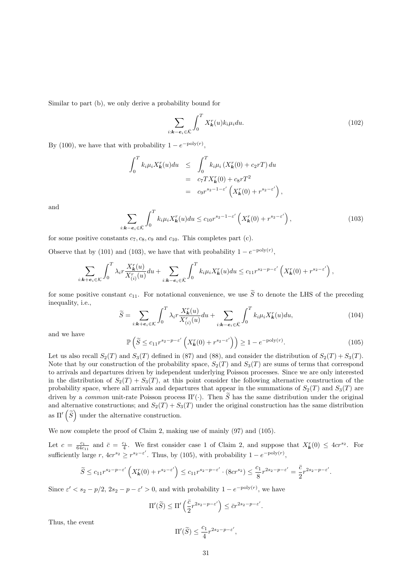Similar to part (b), we only derive a probability bound for

$$
\sum_{i:\mathbf{k}-\mathbf{e}_i\in\bar{\mathcal{K}}} \int_0^T X_{\mathbf{k}}^r(u) k_i \mu_i du.
$$
 (102)

By (100), we have that with probability  $1 - e^{-\text{poly}(r)}$ ,

$$
\int_0^T k_i \mu_i X_{\boldsymbol{k}}^r(u) du \leq \int_0^T k_i \mu_i (X_{\boldsymbol{k}}^r(0) + c_2 rT) du
$$
  
=  $c_7 TX_{\boldsymbol{k}}^r(0) + c_8 rT^2$   
=  $c_9 r^{s_2 - 1 - \varepsilon'} \left( X_{\boldsymbol{k}}^r(0) + r^{s_2 - \varepsilon'} \right),$ 

and

$$
\sum_{i:\mathbf{k}-\mathbf{e}_i\in\bar{\mathcal{K}}} \int_0^T k_i \mu_i X_\mathbf{k}^r(u) du \le c_{10} r^{s_2-1-\varepsilon'} \left(X_\mathbf{k}^r(0) + r^{s_2-\varepsilon'}\right),\tag{103}
$$

for some positive constants  $c_7, c_8, c_9$  and  $c_{10}$ . This completes part (c).

Observe that by (101) and (103), we have that with probability  $1 - e^{-poly(r)}$ ,

$$
\sum_{i:\mathbf{k}+\mathbf{e}_i\in\mathcal{K}}\int_0^T \lambda_i r \frac{X_k^r(u)}{X_{(i)}^r(u)} du + \sum_{i:\mathbf{k}-\mathbf{e}_i\in\bar{\mathcal{K}}}\int_0^T k_i \mu_i X_k^r(u) du \le c_{11} r^{s_2-p-\varepsilon'}\left(X_k^r(0)+r^{s_2-\varepsilon'}\right),
$$

for some positive constant  $c_{11}$ . For notational convenience, we use  $\tilde{S}$  to denote the LHS of the preceding inequality, i.e.,

$$
\widetilde{S} = \sum_{i:\mathbf{k}+\mathbf{e}_i \in \mathcal{K}} \int_0^T \lambda_i r \frac{X_\mathbf{k}^r(u)}{X_{(i)}^r(u)} du + \sum_{i:\mathbf{k}-\mathbf{e}_i \in \bar{\mathcal{K}}} \int_0^T k_i \mu_i X_\mathbf{k}^r(u) du,
$$
\n(104)

and we have

$$
\mathbb{P}\left(\widetilde{S} \le c_{11}r^{s_2 - p - \varepsilon'}\left(X_k^r(0) + r^{s_2 - \varepsilon'}\right)\right) \ge 1 - e^{-\text{poly}(r)}.\tag{105}
$$

Let us also recall  $S_2(T)$  and  $S_3(T)$  defined in (87) and (88), and consider the distribution of  $S_2(T) + S_3(T)$ . Note that by our construction of the probability space,  $S_2(T)$  and  $S_3(T)$  are sums of terms that correspond to arrivals and departures driven by independent underlying Poisson processes. Since we are only interested in the distribution of  $S_2(T) + S_3(T)$ , at this point consider the following alternative construction of the probability space, where all arrivals and departures that appear in the summations of  $S_2(T)$  and  $S_3(T)$  are driven by a *common* unit-rate Poisson process  $\Pi'$ . Then  $\tilde{S}$  has the same distribution under the original and alternative constructions; and  $S_2(T) + S_3(T)$  under the original construction has the same distribution as  $\Pi'\left(\widetilde{S}\right)$  under the alternative construction.

We now complete the proof of Claim 2, making use of mainly (97) and (105).

Let  $c = \frac{c_1}{64c_{11}}$  and  $\bar{c} = \frac{c_1}{4}$ . We first consider case 1 of Claim 2, and suppose that  $X_k^r(0) \leq 4cr^{s_2}$ . For sufficiently large  $r, 4cr^{s_2} \geq r^{s_2-\varepsilon'}$ . Thus, by (105), with probability  $1-e^{-\text{poly}(r)}$ ,

$$
\widetilde{S} \le c_{11} r^{s_2 - p - \varepsilon'} \left( X_{\mathbf{k}}^r(0) + r^{s_2 - \varepsilon'} \right) \le c_{11} r^{s_2 - p - \varepsilon'} \cdot (8cr^{s_2}) \le \frac{c_1}{8} r^{2s_2 - p - \varepsilon'} = \frac{\bar{c}}{2} r^{2s_2 - p - \varepsilon'}.
$$

Since  $\varepsilon' < s_2 - p/2$ ,  $2s_2 - p - \varepsilon' > 0$ , and with probability  $1 - e^{-poly(r)}$ , we have

$$
\Pi'(\widetilde{S}) \le \Pi'\left(\frac{\bar{c}}{2}r^{2s_2 - p - \varepsilon'}\right) \le \bar{c}r^{2s_2 - p - \varepsilon'}.
$$

Thus, the event

$$
\Pi'(\widetilde{S}) \le \frac{c_1}{4} r^{2s_2 - p - \varepsilon'},
$$